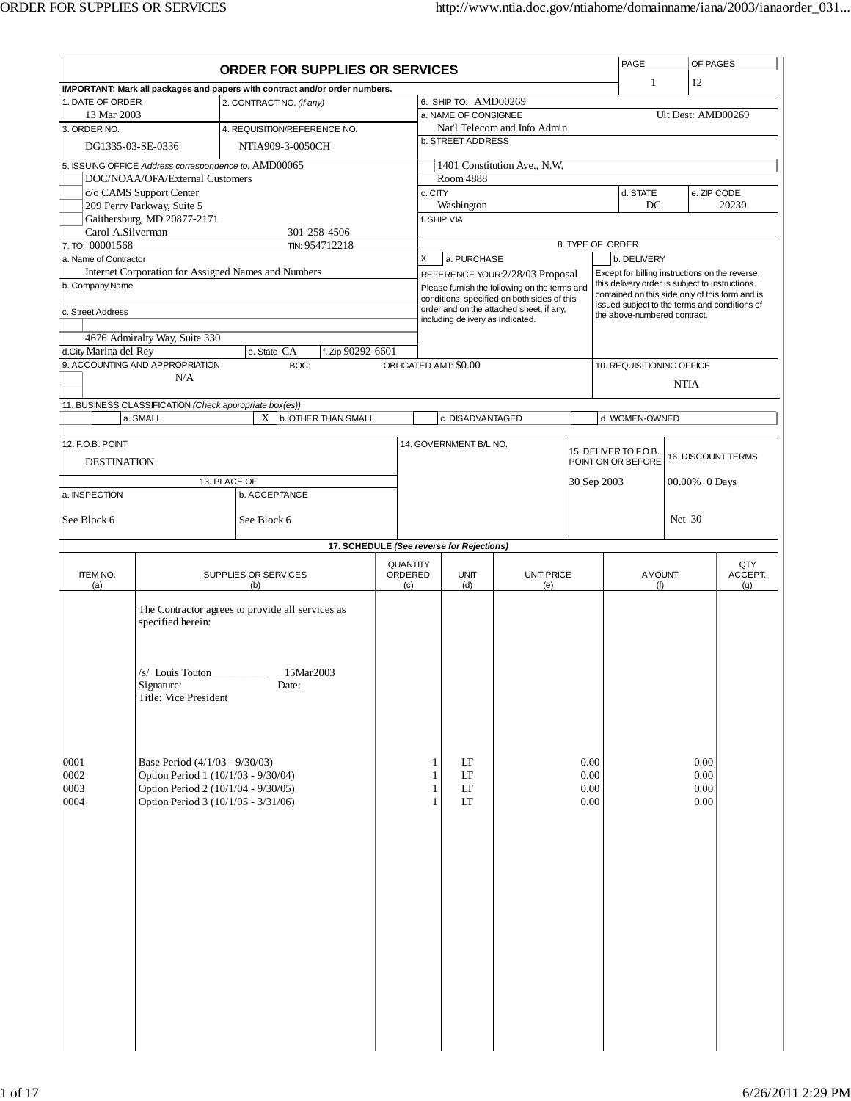| <b>ORDER FOR SUPPLIES OR SERVICES</b><br>$\mathbf{1}$<br>12<br>IMPORTANT: Mark all packages and papers with contract and/or order numbers.<br>6. SHIP TO: AMD00269<br>1. DATE OF ORDER<br>2. CONTRACT NO. (if any)<br>Ult Dest: AMD00269<br>13 Mar 2003<br>a. NAME OF CONSIGNEE<br>Nat'l Telecom and Info Admin<br>4. REQUISITION/REFERENCE NO.<br><b>b. STREET ADDRESS</b><br>DG1335-03-SE-0336<br>NTIA909-3-0050CH<br>1401 Constitution Ave., N.W.<br>5. ISSUING OFFICE Address correspondence to: AMD00065<br>DOC/NOAA/OFA/External Customers<br>Room 4888<br>c/o CAMS Support Center<br>c. CITY<br>d. STATE<br>e. ZIP CODE<br>209 Perry Parkway, Suite 5<br>Washington<br>DC<br>20230<br>Gaithersburg, MD 20877-2171<br>f. SHIP VIA<br>Carol A.Silverman<br>301-258-4506<br>TIN: 954712218<br>8. TYPE OF ORDER<br>7. TO: 00001568<br>Х<br>b. DELIVERY<br>a. PURCHASE<br>a. Name of Contractor<br>Internet Corporation for Assigned Names and Numbers<br>Except for billing instructions on the reverse,<br>REFERENCE YOUR:2/28/03 Proposal<br>this delivery order is subject to instructions<br>b. Company Name<br>Please furnish the following on the terms and<br>contained on this side only of this form and is<br>conditions specified on both sides of this<br>issued subject to the terms and conditions of<br>order and on the attached sheet, if any,<br>the above-numbered contract.<br>including delivery as indicated.<br>4676 Admiralty Way, Suite 330<br>d.City Marina del Rey<br>e. State CA<br>f. Zip 90292-6601<br>9. ACCOUNTING AND APPROPRIATION<br>OBLIGATED AMT: \$0.00<br>BOC:<br>10. REQUISITIONING OFFICE<br>N/A<br><b>NTIA</b><br>11. BUSINESS CLASSIFICATION (Check appropriate box(es))<br><b>b. OTHER THAN SMALL</b><br>a. SMALL<br>X<br>c. DISADVANTAGED<br>d. WOMEN-OWNED<br>12. F.O.B. POINT<br>14. GOVERNMENT B/L NO.<br>15. DELIVER TO F.O.B.<br>16. DISCOUNT TERMS<br>POINT ON OR BEFORE<br><b>DESTINATION</b><br>13. PLACE OF<br>00.00% 0 Days<br>30 Sep 2003<br>b. ACCEPTANCE<br>a. INSPECTION<br>Net 30<br>See Block 6<br>17. SCHEDULE (See reverse for Rejections)<br><b>QUANTITY</b><br>QTY<br>ITEM NO.<br>SUPPLIES OR SERVICES<br>ORDERED<br><b>UNIT</b><br><b>UNIT PRICE</b><br><b>AMOUNT</b><br>ACCEPT.<br>(a)<br>(b)<br>(c)<br>(d)<br>(f)<br>(q)<br>(e)<br>The Contractor agrees to provide all services as<br>specified herein:<br>$\_15\mbox{Mar}2003$<br>/s/_Louis Touton_<br>Signature:<br>Date:<br>Title: Vice President<br>0001<br>Base Period (4/1/03 - 9/30/03)<br>0.00<br>0.00<br>LT<br>1<br>0002<br>Option Period 1 (10/1/03 - 9/30/04)<br>LT<br>0.00<br>0.00<br>$\mathbf{1}$<br>Option Period 2 (10/1/04 - 9/30/05)<br>$\mathbf{1}$<br>LT<br>0.00<br>0.00<br>$\mathop{\rm LT}\nolimits$<br>Option Period 3 (10/1/05 - 3/31/06)<br>$\mathbf{1}$<br>0.00<br>0.00 |                   |  |  |  |  | PAGE | OF PAGES |
|--------------------------------------------------------------------------------------------------------------------------------------------------------------------------------------------------------------------------------------------------------------------------------------------------------------------------------------------------------------------------------------------------------------------------------------------------------------------------------------------------------------------------------------------------------------------------------------------------------------------------------------------------------------------------------------------------------------------------------------------------------------------------------------------------------------------------------------------------------------------------------------------------------------------------------------------------------------------------------------------------------------------------------------------------------------------------------------------------------------------------------------------------------------------------------------------------------------------------------------------------------------------------------------------------------------------------------------------------------------------------------------------------------------------------------------------------------------------------------------------------------------------------------------------------------------------------------------------------------------------------------------------------------------------------------------------------------------------------------------------------------------------------------------------------------------------------------------------------------------------------------------------------------------------------------------------------------------------------------------------------------------------------------------------------------------------------------------------------------------------------------------------------------------------------------------------------------------------------------------------------------------------------------------------------------------------------------------------------------------------------------------------------------------------------------------------------------------------------------------------------------------------------------------------------------------------------------------------------------------------------------------------------------------------------------------------------------------------------------------------------------------------------------------------------------------------------|-------------------|--|--|--|--|------|----------|
|                                                                                                                                                                                                                                                                                                                                                                                                                                                                                                                                                                                                                                                                                                                                                                                                                                                                                                                                                                                                                                                                                                                                                                                                                                                                                                                                                                                                                                                                                                                                                                                                                                                                                                                                                                                                                                                                                                                                                                                                                                                                                                                                                                                                                                                                                                                                                                                                                                                                                                                                                                                                                                                                                                                                                                                                                          |                   |  |  |  |  |      |          |
|                                                                                                                                                                                                                                                                                                                                                                                                                                                                                                                                                                                                                                                                                                                                                                                                                                                                                                                                                                                                                                                                                                                                                                                                                                                                                                                                                                                                                                                                                                                                                                                                                                                                                                                                                                                                                                                                                                                                                                                                                                                                                                                                                                                                                                                                                                                                                                                                                                                                                                                                                                                                                                                                                                                                                                                                                          |                   |  |  |  |  |      |          |
|                                                                                                                                                                                                                                                                                                                                                                                                                                                                                                                                                                                                                                                                                                                                                                                                                                                                                                                                                                                                                                                                                                                                                                                                                                                                                                                                                                                                                                                                                                                                                                                                                                                                                                                                                                                                                                                                                                                                                                                                                                                                                                                                                                                                                                                                                                                                                                                                                                                                                                                                                                                                                                                                                                                                                                                                                          |                   |  |  |  |  |      |          |
|                                                                                                                                                                                                                                                                                                                                                                                                                                                                                                                                                                                                                                                                                                                                                                                                                                                                                                                                                                                                                                                                                                                                                                                                                                                                                                                                                                                                                                                                                                                                                                                                                                                                                                                                                                                                                                                                                                                                                                                                                                                                                                                                                                                                                                                                                                                                                                                                                                                                                                                                                                                                                                                                                                                                                                                                                          | 3. ORDER NO.      |  |  |  |  |      |          |
|                                                                                                                                                                                                                                                                                                                                                                                                                                                                                                                                                                                                                                                                                                                                                                                                                                                                                                                                                                                                                                                                                                                                                                                                                                                                                                                                                                                                                                                                                                                                                                                                                                                                                                                                                                                                                                                                                                                                                                                                                                                                                                                                                                                                                                                                                                                                                                                                                                                                                                                                                                                                                                                                                                                                                                                                                          |                   |  |  |  |  |      |          |
|                                                                                                                                                                                                                                                                                                                                                                                                                                                                                                                                                                                                                                                                                                                                                                                                                                                                                                                                                                                                                                                                                                                                                                                                                                                                                                                                                                                                                                                                                                                                                                                                                                                                                                                                                                                                                                                                                                                                                                                                                                                                                                                                                                                                                                                                                                                                                                                                                                                                                                                                                                                                                                                                                                                                                                                                                          |                   |  |  |  |  |      |          |
|                                                                                                                                                                                                                                                                                                                                                                                                                                                                                                                                                                                                                                                                                                                                                                                                                                                                                                                                                                                                                                                                                                                                                                                                                                                                                                                                                                                                                                                                                                                                                                                                                                                                                                                                                                                                                                                                                                                                                                                                                                                                                                                                                                                                                                                                                                                                                                                                                                                                                                                                                                                                                                                                                                                                                                                                                          |                   |  |  |  |  |      |          |
|                                                                                                                                                                                                                                                                                                                                                                                                                                                                                                                                                                                                                                                                                                                                                                                                                                                                                                                                                                                                                                                                                                                                                                                                                                                                                                                                                                                                                                                                                                                                                                                                                                                                                                                                                                                                                                                                                                                                                                                                                                                                                                                                                                                                                                                                                                                                                                                                                                                                                                                                                                                                                                                                                                                                                                                                                          |                   |  |  |  |  |      |          |
|                                                                                                                                                                                                                                                                                                                                                                                                                                                                                                                                                                                                                                                                                                                                                                                                                                                                                                                                                                                                                                                                                                                                                                                                                                                                                                                                                                                                                                                                                                                                                                                                                                                                                                                                                                                                                                                                                                                                                                                                                                                                                                                                                                                                                                                                                                                                                                                                                                                                                                                                                                                                                                                                                                                                                                                                                          |                   |  |  |  |  |      |          |
|                                                                                                                                                                                                                                                                                                                                                                                                                                                                                                                                                                                                                                                                                                                                                                                                                                                                                                                                                                                                                                                                                                                                                                                                                                                                                                                                                                                                                                                                                                                                                                                                                                                                                                                                                                                                                                                                                                                                                                                                                                                                                                                                                                                                                                                                                                                                                                                                                                                                                                                                                                                                                                                                                                                                                                                                                          |                   |  |  |  |  |      |          |
|                                                                                                                                                                                                                                                                                                                                                                                                                                                                                                                                                                                                                                                                                                                                                                                                                                                                                                                                                                                                                                                                                                                                                                                                                                                                                                                                                                                                                                                                                                                                                                                                                                                                                                                                                                                                                                                                                                                                                                                                                                                                                                                                                                                                                                                                                                                                                                                                                                                                                                                                                                                                                                                                                                                                                                                                                          |                   |  |  |  |  |      |          |
|                                                                                                                                                                                                                                                                                                                                                                                                                                                                                                                                                                                                                                                                                                                                                                                                                                                                                                                                                                                                                                                                                                                                                                                                                                                                                                                                                                                                                                                                                                                                                                                                                                                                                                                                                                                                                                                                                                                                                                                                                                                                                                                                                                                                                                                                                                                                                                                                                                                                                                                                                                                                                                                                                                                                                                                                                          |                   |  |  |  |  |      |          |
|                                                                                                                                                                                                                                                                                                                                                                                                                                                                                                                                                                                                                                                                                                                                                                                                                                                                                                                                                                                                                                                                                                                                                                                                                                                                                                                                                                                                                                                                                                                                                                                                                                                                                                                                                                                                                                                                                                                                                                                                                                                                                                                                                                                                                                                                                                                                                                                                                                                                                                                                                                                                                                                                                                                                                                                                                          |                   |  |  |  |  |      |          |
|                                                                                                                                                                                                                                                                                                                                                                                                                                                                                                                                                                                                                                                                                                                                                                                                                                                                                                                                                                                                                                                                                                                                                                                                                                                                                                                                                                                                                                                                                                                                                                                                                                                                                                                                                                                                                                                                                                                                                                                                                                                                                                                                                                                                                                                                                                                                                                                                                                                                                                                                                                                                                                                                                                                                                                                                                          |                   |  |  |  |  |      |          |
|                                                                                                                                                                                                                                                                                                                                                                                                                                                                                                                                                                                                                                                                                                                                                                                                                                                                                                                                                                                                                                                                                                                                                                                                                                                                                                                                                                                                                                                                                                                                                                                                                                                                                                                                                                                                                                                                                                                                                                                                                                                                                                                                                                                                                                                                                                                                                                                                                                                                                                                                                                                                                                                                                                                                                                                                                          | c. Street Address |  |  |  |  |      |          |
|                                                                                                                                                                                                                                                                                                                                                                                                                                                                                                                                                                                                                                                                                                                                                                                                                                                                                                                                                                                                                                                                                                                                                                                                                                                                                                                                                                                                                                                                                                                                                                                                                                                                                                                                                                                                                                                                                                                                                                                                                                                                                                                                                                                                                                                                                                                                                                                                                                                                                                                                                                                                                                                                                                                                                                                                                          |                   |  |  |  |  |      |          |
|                                                                                                                                                                                                                                                                                                                                                                                                                                                                                                                                                                                                                                                                                                                                                                                                                                                                                                                                                                                                                                                                                                                                                                                                                                                                                                                                                                                                                                                                                                                                                                                                                                                                                                                                                                                                                                                                                                                                                                                                                                                                                                                                                                                                                                                                                                                                                                                                                                                                                                                                                                                                                                                                                                                                                                                                                          |                   |  |  |  |  |      |          |
|                                                                                                                                                                                                                                                                                                                                                                                                                                                                                                                                                                                                                                                                                                                                                                                                                                                                                                                                                                                                                                                                                                                                                                                                                                                                                                                                                                                                                                                                                                                                                                                                                                                                                                                                                                                                                                                                                                                                                                                                                                                                                                                                                                                                                                                                                                                                                                                                                                                                                                                                                                                                                                                                                                                                                                                                                          |                   |  |  |  |  |      |          |
|                                                                                                                                                                                                                                                                                                                                                                                                                                                                                                                                                                                                                                                                                                                                                                                                                                                                                                                                                                                                                                                                                                                                                                                                                                                                                                                                                                                                                                                                                                                                                                                                                                                                                                                                                                                                                                                                                                                                                                                                                                                                                                                                                                                                                                                                                                                                                                                                                                                                                                                                                                                                                                                                                                                                                                                                                          |                   |  |  |  |  |      |          |
|                                                                                                                                                                                                                                                                                                                                                                                                                                                                                                                                                                                                                                                                                                                                                                                                                                                                                                                                                                                                                                                                                                                                                                                                                                                                                                                                                                                                                                                                                                                                                                                                                                                                                                                                                                                                                                                                                                                                                                                                                                                                                                                                                                                                                                                                                                                                                                                                                                                                                                                                                                                                                                                                                                                                                                                                                          |                   |  |  |  |  |      |          |
|                                                                                                                                                                                                                                                                                                                                                                                                                                                                                                                                                                                                                                                                                                                                                                                                                                                                                                                                                                                                                                                                                                                                                                                                                                                                                                                                                                                                                                                                                                                                                                                                                                                                                                                                                                                                                                                                                                                                                                                                                                                                                                                                                                                                                                                                                                                                                                                                                                                                                                                                                                                                                                                                                                                                                                                                                          |                   |  |  |  |  |      |          |
|                                                                                                                                                                                                                                                                                                                                                                                                                                                                                                                                                                                                                                                                                                                                                                                                                                                                                                                                                                                                                                                                                                                                                                                                                                                                                                                                                                                                                                                                                                                                                                                                                                                                                                                                                                                                                                                                                                                                                                                                                                                                                                                                                                                                                                                                                                                                                                                                                                                                                                                                                                                                                                                                                                                                                                                                                          |                   |  |  |  |  |      |          |
|                                                                                                                                                                                                                                                                                                                                                                                                                                                                                                                                                                                                                                                                                                                                                                                                                                                                                                                                                                                                                                                                                                                                                                                                                                                                                                                                                                                                                                                                                                                                                                                                                                                                                                                                                                                                                                                                                                                                                                                                                                                                                                                                                                                                                                                                                                                                                                                                                                                                                                                                                                                                                                                                                                                                                                                                                          |                   |  |  |  |  |      |          |
|                                                                                                                                                                                                                                                                                                                                                                                                                                                                                                                                                                                                                                                                                                                                                                                                                                                                                                                                                                                                                                                                                                                                                                                                                                                                                                                                                                                                                                                                                                                                                                                                                                                                                                                                                                                                                                                                                                                                                                                                                                                                                                                                                                                                                                                                                                                                                                                                                                                                                                                                                                                                                                                                                                                                                                                                                          |                   |  |  |  |  |      |          |
|                                                                                                                                                                                                                                                                                                                                                                                                                                                                                                                                                                                                                                                                                                                                                                                                                                                                                                                                                                                                                                                                                                                                                                                                                                                                                                                                                                                                                                                                                                                                                                                                                                                                                                                                                                                                                                                                                                                                                                                                                                                                                                                                                                                                                                                                                                                                                                                                                                                                                                                                                                                                                                                                                                                                                                                                                          |                   |  |  |  |  |      |          |
|                                                                                                                                                                                                                                                                                                                                                                                                                                                                                                                                                                                                                                                                                                                                                                                                                                                                                                                                                                                                                                                                                                                                                                                                                                                                                                                                                                                                                                                                                                                                                                                                                                                                                                                                                                                                                                                                                                                                                                                                                                                                                                                                                                                                                                                                                                                                                                                                                                                                                                                                                                                                                                                                                                                                                                                                                          |                   |  |  |  |  |      |          |
|                                                                                                                                                                                                                                                                                                                                                                                                                                                                                                                                                                                                                                                                                                                                                                                                                                                                                                                                                                                                                                                                                                                                                                                                                                                                                                                                                                                                                                                                                                                                                                                                                                                                                                                                                                                                                                                                                                                                                                                                                                                                                                                                                                                                                                                                                                                                                                                                                                                                                                                                                                                                                                                                                                                                                                                                                          |                   |  |  |  |  |      |          |
|                                                                                                                                                                                                                                                                                                                                                                                                                                                                                                                                                                                                                                                                                                                                                                                                                                                                                                                                                                                                                                                                                                                                                                                                                                                                                                                                                                                                                                                                                                                                                                                                                                                                                                                                                                                                                                                                                                                                                                                                                                                                                                                                                                                                                                                                                                                                                                                                                                                                                                                                                                                                                                                                                                                                                                                                                          | See Block 6       |  |  |  |  |      |          |
|                                                                                                                                                                                                                                                                                                                                                                                                                                                                                                                                                                                                                                                                                                                                                                                                                                                                                                                                                                                                                                                                                                                                                                                                                                                                                                                                                                                                                                                                                                                                                                                                                                                                                                                                                                                                                                                                                                                                                                                                                                                                                                                                                                                                                                                                                                                                                                                                                                                                                                                                                                                                                                                                                                                                                                                                                          |                   |  |  |  |  |      |          |
|                                                                                                                                                                                                                                                                                                                                                                                                                                                                                                                                                                                                                                                                                                                                                                                                                                                                                                                                                                                                                                                                                                                                                                                                                                                                                                                                                                                                                                                                                                                                                                                                                                                                                                                                                                                                                                                                                                                                                                                                                                                                                                                                                                                                                                                                                                                                                                                                                                                                                                                                                                                                                                                                                                                                                                                                                          |                   |  |  |  |  |      |          |
|                                                                                                                                                                                                                                                                                                                                                                                                                                                                                                                                                                                                                                                                                                                                                                                                                                                                                                                                                                                                                                                                                                                                                                                                                                                                                                                                                                                                                                                                                                                                                                                                                                                                                                                                                                                                                                                                                                                                                                                                                                                                                                                                                                                                                                                                                                                                                                                                                                                                                                                                                                                                                                                                                                                                                                                                                          |                   |  |  |  |  |      |          |
|                                                                                                                                                                                                                                                                                                                                                                                                                                                                                                                                                                                                                                                                                                                                                                                                                                                                                                                                                                                                                                                                                                                                                                                                                                                                                                                                                                                                                                                                                                                                                                                                                                                                                                                                                                                                                                                                                                                                                                                                                                                                                                                                                                                                                                                                                                                                                                                                                                                                                                                                                                                                                                                                                                                                                                                                                          |                   |  |  |  |  |      |          |
|                                                                                                                                                                                                                                                                                                                                                                                                                                                                                                                                                                                                                                                                                                                                                                                                                                                                                                                                                                                                                                                                                                                                                                                                                                                                                                                                                                                                                                                                                                                                                                                                                                                                                                                                                                                                                                                                                                                                                                                                                                                                                                                                                                                                                                                                                                                                                                                                                                                                                                                                                                                                                                                                                                                                                                                                                          |                   |  |  |  |  |      |          |
|                                                                                                                                                                                                                                                                                                                                                                                                                                                                                                                                                                                                                                                                                                                                                                                                                                                                                                                                                                                                                                                                                                                                                                                                                                                                                                                                                                                                                                                                                                                                                                                                                                                                                                                                                                                                                                                                                                                                                                                                                                                                                                                                                                                                                                                                                                                                                                                                                                                                                                                                                                                                                                                                                                                                                                                                                          |                   |  |  |  |  |      |          |
|                                                                                                                                                                                                                                                                                                                                                                                                                                                                                                                                                                                                                                                                                                                                                                                                                                                                                                                                                                                                                                                                                                                                                                                                                                                                                                                                                                                                                                                                                                                                                                                                                                                                                                                                                                                                                                                                                                                                                                                                                                                                                                                                                                                                                                                                                                                                                                                                                                                                                                                                                                                                                                                                                                                                                                                                                          |                   |  |  |  |  |      |          |
|                                                                                                                                                                                                                                                                                                                                                                                                                                                                                                                                                                                                                                                                                                                                                                                                                                                                                                                                                                                                                                                                                                                                                                                                                                                                                                                                                                                                                                                                                                                                                                                                                                                                                                                                                                                                                                                                                                                                                                                                                                                                                                                                                                                                                                                                                                                                                                                                                                                                                                                                                                                                                                                                                                                                                                                                                          |                   |  |  |  |  |      |          |
|                                                                                                                                                                                                                                                                                                                                                                                                                                                                                                                                                                                                                                                                                                                                                                                                                                                                                                                                                                                                                                                                                                                                                                                                                                                                                                                                                                                                                                                                                                                                                                                                                                                                                                                                                                                                                                                                                                                                                                                                                                                                                                                                                                                                                                                                                                                                                                                                                                                                                                                                                                                                                                                                                                                                                                                                                          |                   |  |  |  |  |      |          |
|                                                                                                                                                                                                                                                                                                                                                                                                                                                                                                                                                                                                                                                                                                                                                                                                                                                                                                                                                                                                                                                                                                                                                                                                                                                                                                                                                                                                                                                                                                                                                                                                                                                                                                                                                                                                                                                                                                                                                                                                                                                                                                                                                                                                                                                                                                                                                                                                                                                                                                                                                                                                                                                                                                                                                                                                                          |                   |  |  |  |  |      |          |
|                                                                                                                                                                                                                                                                                                                                                                                                                                                                                                                                                                                                                                                                                                                                                                                                                                                                                                                                                                                                                                                                                                                                                                                                                                                                                                                                                                                                                                                                                                                                                                                                                                                                                                                                                                                                                                                                                                                                                                                                                                                                                                                                                                                                                                                                                                                                                                                                                                                                                                                                                                                                                                                                                                                                                                                                                          |                   |  |  |  |  |      |          |
|                                                                                                                                                                                                                                                                                                                                                                                                                                                                                                                                                                                                                                                                                                                                                                                                                                                                                                                                                                                                                                                                                                                                                                                                                                                                                                                                                                                                                                                                                                                                                                                                                                                                                                                                                                                                                                                                                                                                                                                                                                                                                                                                                                                                                                                                                                                                                                                                                                                                                                                                                                                                                                                                                                                                                                                                                          |                   |  |  |  |  |      |          |
|                                                                                                                                                                                                                                                                                                                                                                                                                                                                                                                                                                                                                                                                                                                                                                                                                                                                                                                                                                                                                                                                                                                                                                                                                                                                                                                                                                                                                                                                                                                                                                                                                                                                                                                                                                                                                                                                                                                                                                                                                                                                                                                                                                                                                                                                                                                                                                                                                                                                                                                                                                                                                                                                                                                                                                                                                          |                   |  |  |  |  |      |          |
|                                                                                                                                                                                                                                                                                                                                                                                                                                                                                                                                                                                                                                                                                                                                                                                                                                                                                                                                                                                                                                                                                                                                                                                                                                                                                                                                                                                                                                                                                                                                                                                                                                                                                                                                                                                                                                                                                                                                                                                                                                                                                                                                                                                                                                                                                                                                                                                                                                                                                                                                                                                                                                                                                                                                                                                                                          |                   |  |  |  |  |      |          |
|                                                                                                                                                                                                                                                                                                                                                                                                                                                                                                                                                                                                                                                                                                                                                                                                                                                                                                                                                                                                                                                                                                                                                                                                                                                                                                                                                                                                                                                                                                                                                                                                                                                                                                                                                                                                                                                                                                                                                                                                                                                                                                                                                                                                                                                                                                                                                                                                                                                                                                                                                                                                                                                                                                                                                                                                                          |                   |  |  |  |  |      |          |
|                                                                                                                                                                                                                                                                                                                                                                                                                                                                                                                                                                                                                                                                                                                                                                                                                                                                                                                                                                                                                                                                                                                                                                                                                                                                                                                                                                                                                                                                                                                                                                                                                                                                                                                                                                                                                                                                                                                                                                                                                                                                                                                                                                                                                                                                                                                                                                                                                                                                                                                                                                                                                                                                                                                                                                                                                          |                   |  |  |  |  |      |          |
|                                                                                                                                                                                                                                                                                                                                                                                                                                                                                                                                                                                                                                                                                                                                                                                                                                                                                                                                                                                                                                                                                                                                                                                                                                                                                                                                                                                                                                                                                                                                                                                                                                                                                                                                                                                                                                                                                                                                                                                                                                                                                                                                                                                                                                                                                                                                                                                                                                                                                                                                                                                                                                                                                                                                                                                                                          | 0003              |  |  |  |  |      |          |
|                                                                                                                                                                                                                                                                                                                                                                                                                                                                                                                                                                                                                                                                                                                                                                                                                                                                                                                                                                                                                                                                                                                                                                                                                                                                                                                                                                                                                                                                                                                                                                                                                                                                                                                                                                                                                                                                                                                                                                                                                                                                                                                                                                                                                                                                                                                                                                                                                                                                                                                                                                                                                                                                                                                                                                                                                          | 0004              |  |  |  |  |      |          |
|                                                                                                                                                                                                                                                                                                                                                                                                                                                                                                                                                                                                                                                                                                                                                                                                                                                                                                                                                                                                                                                                                                                                                                                                                                                                                                                                                                                                                                                                                                                                                                                                                                                                                                                                                                                                                                                                                                                                                                                                                                                                                                                                                                                                                                                                                                                                                                                                                                                                                                                                                                                                                                                                                                                                                                                                                          |                   |  |  |  |  |      |          |
|                                                                                                                                                                                                                                                                                                                                                                                                                                                                                                                                                                                                                                                                                                                                                                                                                                                                                                                                                                                                                                                                                                                                                                                                                                                                                                                                                                                                                                                                                                                                                                                                                                                                                                                                                                                                                                                                                                                                                                                                                                                                                                                                                                                                                                                                                                                                                                                                                                                                                                                                                                                                                                                                                                                                                                                                                          |                   |  |  |  |  |      |          |
|                                                                                                                                                                                                                                                                                                                                                                                                                                                                                                                                                                                                                                                                                                                                                                                                                                                                                                                                                                                                                                                                                                                                                                                                                                                                                                                                                                                                                                                                                                                                                                                                                                                                                                                                                                                                                                                                                                                                                                                                                                                                                                                                                                                                                                                                                                                                                                                                                                                                                                                                                                                                                                                                                                                                                                                                                          |                   |  |  |  |  |      |          |
|                                                                                                                                                                                                                                                                                                                                                                                                                                                                                                                                                                                                                                                                                                                                                                                                                                                                                                                                                                                                                                                                                                                                                                                                                                                                                                                                                                                                                                                                                                                                                                                                                                                                                                                                                                                                                                                                                                                                                                                                                                                                                                                                                                                                                                                                                                                                                                                                                                                                                                                                                                                                                                                                                                                                                                                                                          |                   |  |  |  |  |      |          |
|                                                                                                                                                                                                                                                                                                                                                                                                                                                                                                                                                                                                                                                                                                                                                                                                                                                                                                                                                                                                                                                                                                                                                                                                                                                                                                                                                                                                                                                                                                                                                                                                                                                                                                                                                                                                                                                                                                                                                                                                                                                                                                                                                                                                                                                                                                                                                                                                                                                                                                                                                                                                                                                                                                                                                                                                                          |                   |  |  |  |  |      |          |
|                                                                                                                                                                                                                                                                                                                                                                                                                                                                                                                                                                                                                                                                                                                                                                                                                                                                                                                                                                                                                                                                                                                                                                                                                                                                                                                                                                                                                                                                                                                                                                                                                                                                                                                                                                                                                                                                                                                                                                                                                                                                                                                                                                                                                                                                                                                                                                                                                                                                                                                                                                                                                                                                                                                                                                                                                          |                   |  |  |  |  |      |          |
|                                                                                                                                                                                                                                                                                                                                                                                                                                                                                                                                                                                                                                                                                                                                                                                                                                                                                                                                                                                                                                                                                                                                                                                                                                                                                                                                                                                                                                                                                                                                                                                                                                                                                                                                                                                                                                                                                                                                                                                                                                                                                                                                                                                                                                                                                                                                                                                                                                                                                                                                                                                                                                                                                                                                                                                                                          |                   |  |  |  |  |      |          |
|                                                                                                                                                                                                                                                                                                                                                                                                                                                                                                                                                                                                                                                                                                                                                                                                                                                                                                                                                                                                                                                                                                                                                                                                                                                                                                                                                                                                                                                                                                                                                                                                                                                                                                                                                                                                                                                                                                                                                                                                                                                                                                                                                                                                                                                                                                                                                                                                                                                                                                                                                                                                                                                                                                                                                                                                                          |                   |  |  |  |  |      |          |
|                                                                                                                                                                                                                                                                                                                                                                                                                                                                                                                                                                                                                                                                                                                                                                                                                                                                                                                                                                                                                                                                                                                                                                                                                                                                                                                                                                                                                                                                                                                                                                                                                                                                                                                                                                                                                                                                                                                                                                                                                                                                                                                                                                                                                                                                                                                                                                                                                                                                                                                                                                                                                                                                                                                                                                                                                          |                   |  |  |  |  |      |          |
|                                                                                                                                                                                                                                                                                                                                                                                                                                                                                                                                                                                                                                                                                                                                                                                                                                                                                                                                                                                                                                                                                                                                                                                                                                                                                                                                                                                                                                                                                                                                                                                                                                                                                                                                                                                                                                                                                                                                                                                                                                                                                                                                                                                                                                                                                                                                                                                                                                                                                                                                                                                                                                                                                                                                                                                                                          |                   |  |  |  |  |      |          |
|                                                                                                                                                                                                                                                                                                                                                                                                                                                                                                                                                                                                                                                                                                                                                                                                                                                                                                                                                                                                                                                                                                                                                                                                                                                                                                                                                                                                                                                                                                                                                                                                                                                                                                                                                                                                                                                                                                                                                                                                                                                                                                                                                                                                                                                                                                                                                                                                                                                                                                                                                                                                                                                                                                                                                                                                                          |                   |  |  |  |  |      |          |
|                                                                                                                                                                                                                                                                                                                                                                                                                                                                                                                                                                                                                                                                                                                                                                                                                                                                                                                                                                                                                                                                                                                                                                                                                                                                                                                                                                                                                                                                                                                                                                                                                                                                                                                                                                                                                                                                                                                                                                                                                                                                                                                                                                                                                                                                                                                                                                                                                                                                                                                                                                                                                                                                                                                                                                                                                          |                   |  |  |  |  |      |          |
|                                                                                                                                                                                                                                                                                                                                                                                                                                                                                                                                                                                                                                                                                                                                                                                                                                                                                                                                                                                                                                                                                                                                                                                                                                                                                                                                                                                                                                                                                                                                                                                                                                                                                                                                                                                                                                                                                                                                                                                                                                                                                                                                                                                                                                                                                                                                                                                                                                                                                                                                                                                                                                                                                                                                                                                                                          |                   |  |  |  |  |      |          |
|                                                                                                                                                                                                                                                                                                                                                                                                                                                                                                                                                                                                                                                                                                                                                                                                                                                                                                                                                                                                                                                                                                                                                                                                                                                                                                                                                                                                                                                                                                                                                                                                                                                                                                                                                                                                                                                                                                                                                                                                                                                                                                                                                                                                                                                                                                                                                                                                                                                                                                                                                                                                                                                                                                                                                                                                                          |                   |  |  |  |  |      |          |
|                                                                                                                                                                                                                                                                                                                                                                                                                                                                                                                                                                                                                                                                                                                                                                                                                                                                                                                                                                                                                                                                                                                                                                                                                                                                                                                                                                                                                                                                                                                                                                                                                                                                                                                                                                                                                                                                                                                                                                                                                                                                                                                                                                                                                                                                                                                                                                                                                                                                                                                                                                                                                                                                                                                                                                                                                          |                   |  |  |  |  |      |          |
|                                                                                                                                                                                                                                                                                                                                                                                                                                                                                                                                                                                                                                                                                                                                                                                                                                                                                                                                                                                                                                                                                                                                                                                                                                                                                                                                                                                                                                                                                                                                                                                                                                                                                                                                                                                                                                                                                                                                                                                                                                                                                                                                                                                                                                                                                                                                                                                                                                                                                                                                                                                                                                                                                                                                                                                                                          |                   |  |  |  |  |      |          |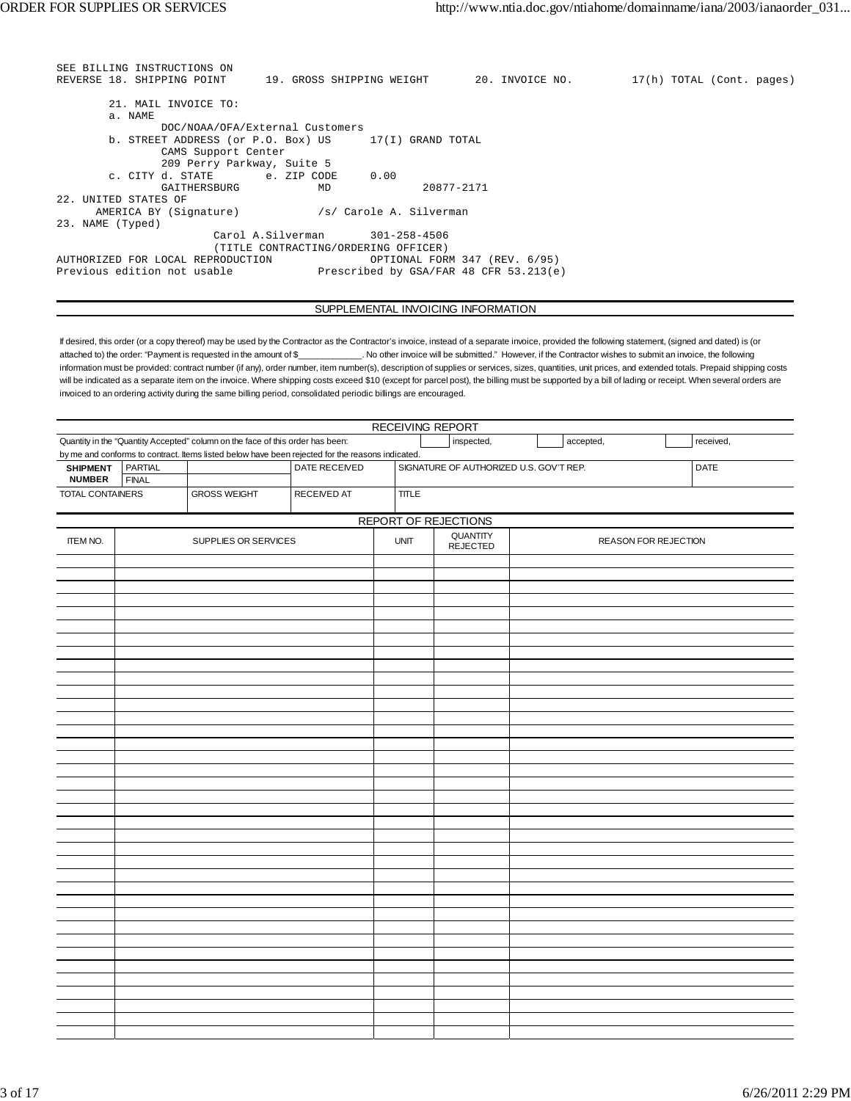| SEE BILLING INSTRUCTIONS ON        |                                        |                 |                           |
|------------------------------------|----------------------------------------|-----------------|---------------------------|
| REVERSE 18. SHIPPING POINT         | 19. GROSS SHIPPING WEIGHT              | 20. INVOICE NO. | 17(h) TOTAL (Cont. pages) |
|                                    |                                        |                 |                           |
| 21. MAIL INVOICE TO:               |                                        |                 |                           |
| a. NAME                            |                                        |                 |                           |
| DOC/NOAA/OFA/External Customers    |                                        |                 |                           |
| b. STREET ADDRESS (or P.O. Box) US | 17(I) GRAND TOTAL                      |                 |                           |
| CAMS Support Center                |                                        |                 |                           |
| 209 Perry Parkway, Suite 5         |                                        |                 |                           |
| c. CITY d. STATE<br>e. ZIP CODE    | 0.00                                   |                 |                           |
| GAITHERSBURG                       | 20877-2171<br>MD                       |                 |                           |
| 22. UNITED STATES OF               |                                        |                 |                           |
| AMERICA BY (Signature)             | /s/ Carole A. Silverman                |                 |                           |
| 23. NAME (Typed)                   |                                        |                 |                           |
| Carol A.Silverman                  | $301 - 258 - 4506$                     |                 |                           |
|                                    | (TITLE CONTRACTING/ORDERING OFFICER)   |                 |                           |
| AUTHORIZED FOR LOCAL REPRODUCTION  | OPTIONAL FORM 347 (REV. 6/95)          |                 |                           |
| Previous edition not usable        | Prescribed by GSA/FAR 48 CFR 53.213(e) |                 |                           |

## SUPPLEMENTAL INVOICING INFORMATION

If desired, this order (or a copy thereof) may be used by the Contractor as the Contractor's invoice, instead of a separate invoice, provided the following statement, (signed and dated) is (or attached to) the order: "Payment is requested in the amount of \$\_\_\_\_\_\_\_\_\_\_\_\_\_. No other invoice will be submitted." However, if the Contractor wishes to submit an invoice, the following information must be provided: contract number (if any), order number, item number(s), description of supplies or services, sizes, quantities, unit prices, and extended totals. Prepaid shipping costs will be indicated as a separate item on the invoice. Where shipping costs exceed \$10 (except for parcel post), the billing must be supported by a bill of lading or receipt. When several orders are invoiced to an ordering activity during the same billing period, consolidated periodic billings are encouraged.

| RECEIVING REPORT |                |                                                                                                                                                                                    |               |              |                      |                                         |                      |             |
|------------------|----------------|------------------------------------------------------------------------------------------------------------------------------------------------------------------------------------|---------------|--------------|----------------------|-----------------------------------------|----------------------|-------------|
|                  |                | Quantity in the "Quantity Accepted" column on the face of this order has been:<br>by me and conforms to contract. Items listed below have been rejected for the reasons indicated. |               |              | inspected,           | accepted,                               |                      | received,   |
| <b>SHIPMENT</b>  | <b>PARTIAL</b> |                                                                                                                                                                                    | DATE RECEIVED |              |                      | SIGNATURE OF AUTHORIZED U.S. GOV'T REP. |                      | <b>DATE</b> |
| <b>NUMBER</b>    | <b>FINAL</b>   |                                                                                                                                                                                    |               |              |                      |                                         |                      |             |
| TOTAL CONTAINERS |                | <b>GROSS WEIGHT</b>                                                                                                                                                                | RECEIVED AT   | <b>TITLE</b> |                      |                                         |                      |             |
|                  |                |                                                                                                                                                                                    |               |              | REPORT OF REJECTIONS |                                         |                      |             |
|                  |                |                                                                                                                                                                                    |               |              | QUANTITY             |                                         |                      |             |
| ITEM NO.         |                | SUPPLIES OR SERVICES                                                                                                                                                               |               | <b>UNIT</b>  | <b>REJECTED</b>      |                                         | REASON FOR REJECTION |             |
|                  |                |                                                                                                                                                                                    |               |              |                      |                                         |                      |             |
|                  |                |                                                                                                                                                                                    |               |              |                      |                                         |                      |             |
|                  |                |                                                                                                                                                                                    |               |              |                      |                                         |                      |             |
|                  |                |                                                                                                                                                                                    |               |              |                      |                                         |                      |             |
|                  |                |                                                                                                                                                                                    |               |              |                      |                                         |                      |             |
|                  |                |                                                                                                                                                                                    |               |              |                      |                                         |                      |             |
|                  |                |                                                                                                                                                                                    |               |              |                      |                                         |                      |             |
|                  |                |                                                                                                                                                                                    |               |              |                      |                                         |                      |             |
|                  |                |                                                                                                                                                                                    |               |              |                      |                                         |                      |             |
|                  |                |                                                                                                                                                                                    |               |              |                      |                                         |                      |             |
|                  |                |                                                                                                                                                                                    |               |              |                      |                                         |                      |             |
|                  |                |                                                                                                                                                                                    |               |              |                      |                                         |                      |             |
|                  |                |                                                                                                                                                                                    |               |              |                      |                                         |                      |             |
|                  |                |                                                                                                                                                                                    |               |              |                      |                                         |                      |             |
|                  |                |                                                                                                                                                                                    |               |              |                      |                                         |                      |             |
|                  |                |                                                                                                                                                                                    |               |              |                      |                                         |                      |             |
|                  |                |                                                                                                                                                                                    |               |              |                      |                                         |                      |             |
|                  |                |                                                                                                                                                                                    |               |              |                      |                                         |                      |             |
|                  |                |                                                                                                                                                                                    |               |              |                      |                                         |                      |             |
|                  |                |                                                                                                                                                                                    |               |              |                      |                                         |                      |             |
|                  |                |                                                                                                                                                                                    |               |              |                      |                                         |                      |             |
|                  |                |                                                                                                                                                                                    |               |              |                      |                                         |                      |             |
|                  |                |                                                                                                                                                                                    |               |              |                      |                                         |                      |             |
|                  |                |                                                                                                                                                                                    |               |              |                      |                                         |                      |             |
|                  |                |                                                                                                                                                                                    |               |              |                      |                                         |                      |             |
|                  |                |                                                                                                                                                                                    |               |              |                      |                                         |                      |             |
|                  |                |                                                                                                                                                                                    |               |              |                      |                                         |                      |             |
|                  |                |                                                                                                                                                                                    |               |              |                      |                                         |                      |             |
|                  |                |                                                                                                                                                                                    |               |              |                      |                                         |                      |             |
|                  |                |                                                                                                                                                                                    |               |              |                      |                                         |                      |             |
|                  |                |                                                                                                                                                                                    |               |              |                      |                                         |                      |             |
|                  |                |                                                                                                                                                                                    |               |              |                      |                                         |                      |             |
|                  |                |                                                                                                                                                                                    |               |              |                      |                                         |                      |             |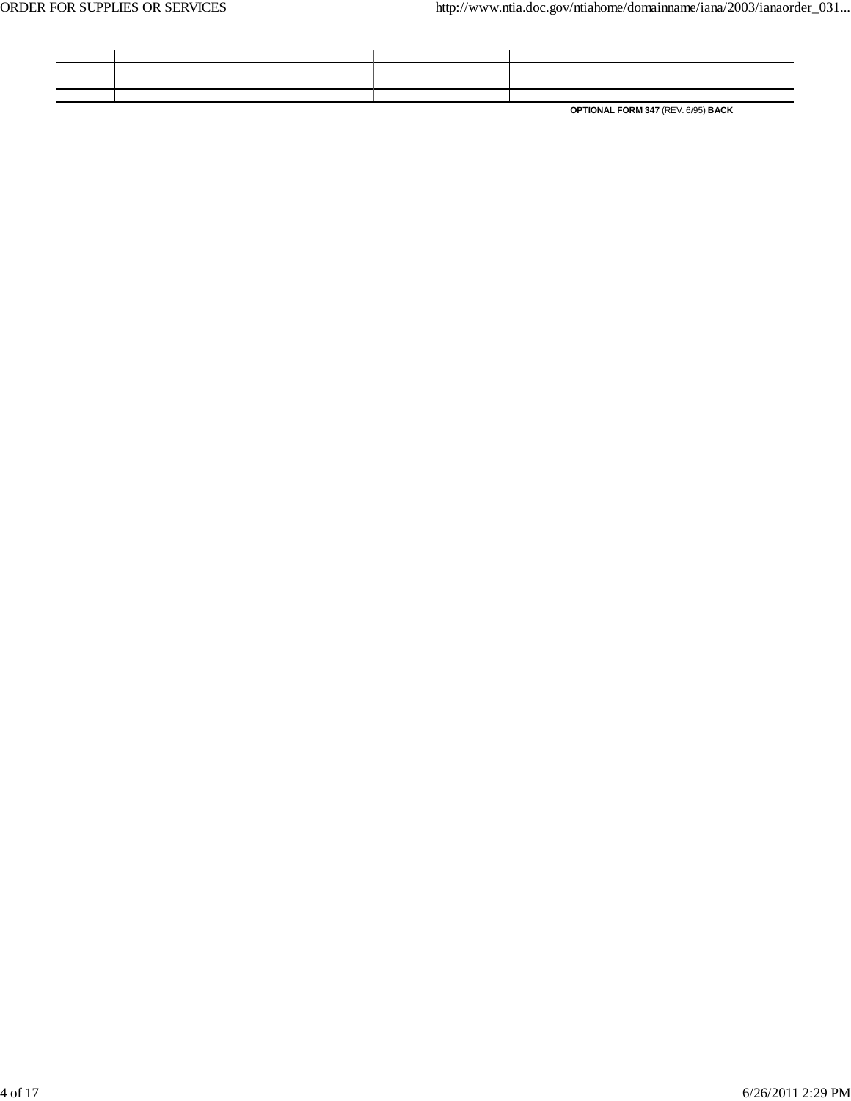**OPTIONAL FORM 347** (REV. 6/95) **BACK**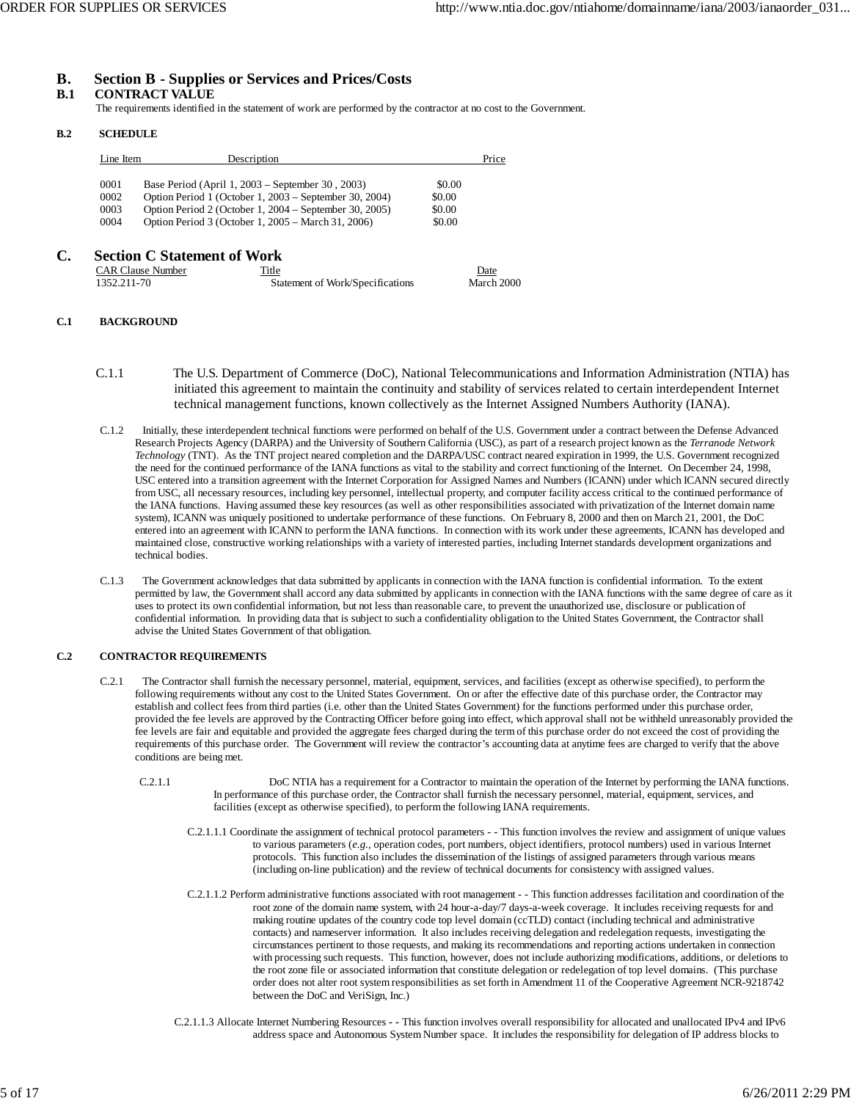# **B. Section B - Supplies or Services and Prices/Costs**

# **B.1 CONTRACT VALUE**

The requirements identified in the statement of work are performed by the contractor at no cost to the Government.

# **B.2 SCHEDULE**

| Line Item | Description                                            |        |
|-----------|--------------------------------------------------------|--------|
| 0001      | Base Period (April 1, $2003$ – September 30, 2003)     | \$0.00 |
| 0002      | Option Period 1 (October 1, 2003 – September 30, 2004) | \$0.00 |
| 0003      | Option Period 2 (October 1, 2004 – September 30, 2005) | \$0.00 |
| 0004      | Option Period 3 (October 1, 2005 – March 31, 2006)     | \$0.00 |

# **C. Section C Statement of Work**

| <b>CAR Clause Number</b> | Title                            | Date       |
|--------------------------|----------------------------------|------------|
| 1352.211-70              | Statement of Work/Specifications | March 2000 |

# **C.1 BACKGROUND**

- C.1.1 The U.S. Department of Commerce (DoC), National Telecommunications and Information Administration (NTIA) has initiated this agreement to maintain the continuity and stability of services related to certain interdependent Internet technical management functions, known collectively as the Internet Assigned Numbers Authority (IANA).
- C.1.2 Initially, these interdependent technical functions were performed on behalf of the U.S. Government under a contract between the Defense Advanced Research Projects Agency (DARPA) and the University of Southern California (USC), as part of a research project known as the *Terranode Network Technology* (TNT). As the TNT project neared completion and the DARPA/USC contract neared expiration in 1999, the U.S. Government recognized the need for the continued performance of the IANA functions as vital to the stability and correct functioning of the Internet. On December 24, 1998, USC entered into a transition agreement with the Internet Corporation for Assigned Names and Numbers (ICANN) under which ICANN secured directly from USC, all necessary resources, including key personnel, intellectual property, and computer facility access critical to the continued performance of the IANA functions. Having assumed these key resources (as well as other responsibilities associated with privatization of the Internet domain name system), ICANN was uniquely positioned to undertake performance of these functions. On February 8, 2000 and then on March 21, 2001, the DoC entered into an agreement with ICANN to perform the IANA functions. In connection with its work under these agreements, ICANN has developed and maintained close, constructive working relationships with a variety of interested parties, including Internet standards development organizations and technical bodies.
- C.1.3 The Government acknowledges that data submitted by applicants in connection with the IANA function is confidential information. To the extent permitted by law, the Government shall accord any data submitted by applicants in connection with the IANA functions with the same degree of care as it uses to protect its own confidential information, but not less than reasonable care, to prevent the unauthorized use, disclosure or publication of confidential information. In providing data that is subject to such a confidentiality obligation to the United States Government, the Contractor shall advise the United States Government of that obligation.

# **C.2 CONTRACTOR REQUIREMENTS**

- C.2.1 The Contractor shall furnish the necessary personnel, material, equipment, services, and facilities (except as otherwise specified), to perform the following requirements without any cost to the United States Government. On or after the effective date of this purchase order, the Contractor may establish and collect fees from third parties (i.e. other than the United States Government) for the functions performed under this purchase order, provided the fee levels are approved by the Contracting Officer before going into effect, which approval shall not be withheld unreasonably provided the fee levels are fair and equitable and provided the aggregate fees charged during the term of this purchase order do not exceed the cost of providing the requirements of this purchase order. The Government will review the contractor's accounting data at anytime fees are charged to verify that the above conditions are being met.
	- C.2.1.1 DoC NTIA has a requirement for a Contractor to maintain the operation of the Internet by performing the IANA functions. In performance of this purchase order, the Contractor shall furnish the necessary personnel, material, equipment, services, and facilities (except as otherwise specified), to perform the following IANA requirements.
		- C.2.1.1.1 Coordinate the assignment of technical protocol parameters - This function involves the review and assignment of unique values to various parameters (*e.g.,* operation codes, port numbers, object identifiers, protocol numbers) used in various Internet protocols. This function also includes the dissemination of the listings of assigned parameters through various means (including on-line publication) and the review of technical documents for consistency with assigned values.
		- C.2.1.1.2 Perform administrative functions associated with root management - This function addresses facilitation and coordination of the root zone of the domain name system, with 24 hour-a-day/7 days-a-week coverage. It includes receiving requests for and making routine updates of the country code top level domain (ccTLD) contact (including technical and administrative contacts) and nameserver information. It also includes receiving delegation and redelegation requests, investigating the circumstances pertinent to those requests, and making its recommendations and reporting actions undertaken in connection with processing such requests. This function, however, does not include authorizing modifications, additions, or deletions to the root zone file or associated information that constitute delegation or redelegation of top level domains. (This purchase order does not alter root system responsibilities as set forth in Amendment 11 of the Cooperative Agreement NCR-9218742 between the DoC and VeriSign, Inc.)
		- C.2.1.1.3 Allocate Internet Numbering Resources **-** This function involves overall responsibility for allocated and unallocated IPv4 and IPv6 address space and Autonomous System Number space. It includes the responsibility for delegation of IP address blocks to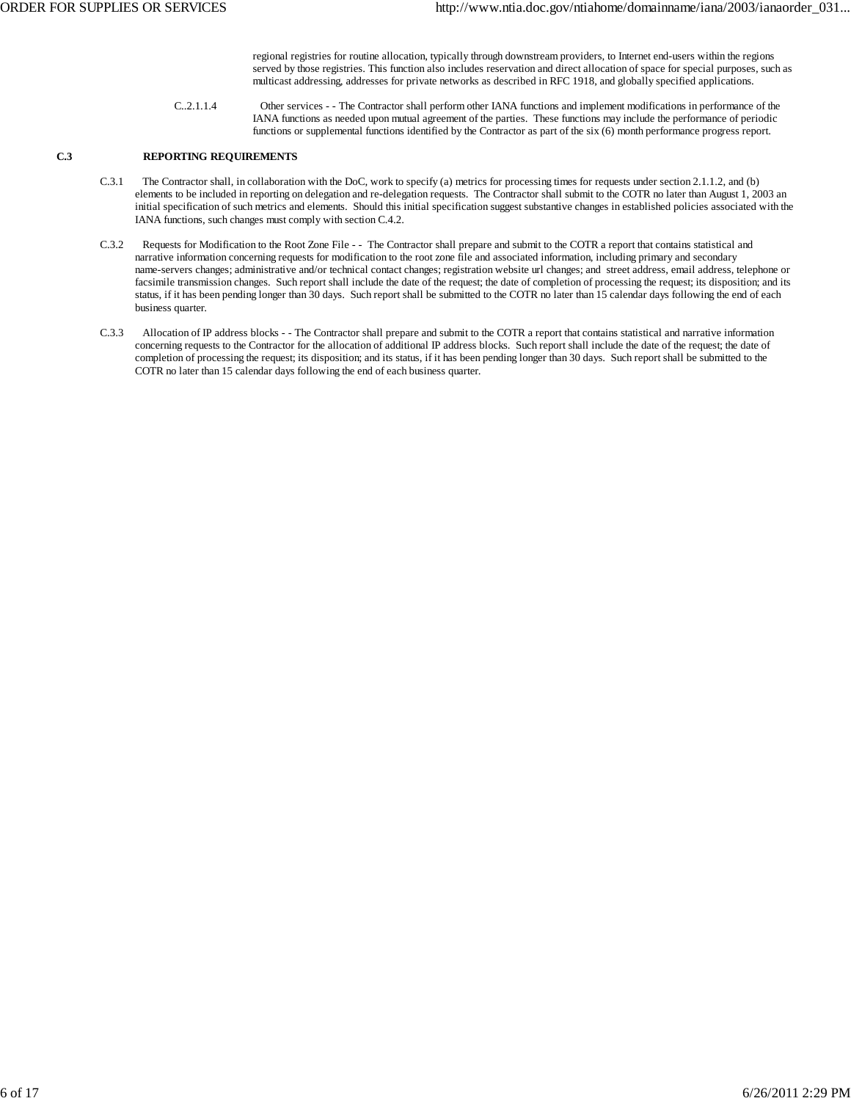regional registries for routine allocation, typically through downstream providers, to Internet end-users within the regions served by those registries. This function also includes reservation and direct allocation of space for special purposes, such as multicast addressing, addresses for private networks as described in RFC 1918, and globally specified applications.

C..2.1.1.4 Other services - - The Contractor shall perform other IANA functions and implement modifications in performance of the IANA functions as needed upon mutual agreement of the parties. These functions may include the performance of periodic functions or supplemental functions identified by the Contractor as part of the six (6) month performance progress report.

#### **C.3 REPORTING REQUIREMENTS**

- C.3.1 The Contractor shall, in collaboration with the DoC, work to specify (a) metrics for processing times for requests under section 2.1.1.2, and (b) elements to be included in reporting on delegation and re-delegation requests. The Contractor shall submit to the COTR no later than August 1, 2003 an initial specification of such metrics and elements. Should this initial specification suggest substantive changes in established policies associated with the IANA functions, such changes must comply with section C.4.2.
- C.3.2 Requests for Modification to the Root Zone File - The Contractor shall prepare and submit to the COTR a report that contains statistical and narrative information concerning requests for modification to the root zone file and associated information, including primary and secondary name-servers changes; administrative and/or technical contact changes; registration website url changes; and street address, email address, telephone or facsimile transmission changes. Such report shall include the date of the request; the date of completion of processing the request; its disposition; and its status, if it has been pending longer than 30 days. Such report shall be submitted to the COTR no later than 15 calendar days following the end of each business quarter.
- C.3.3 Allocation of IP address blocks - The Contractor shall prepare and submit to the COTR a report that contains statistical and narrative information concerning requests to the Contractor for the allocation of additional IP address blocks. Such report shall include the date of the request; the date of completion of processing the request; its disposition; and its status, if it has been pending longer than 30 days. Such report shall be submitted to the COTR no later than 15 calendar days following the end of each business quarter.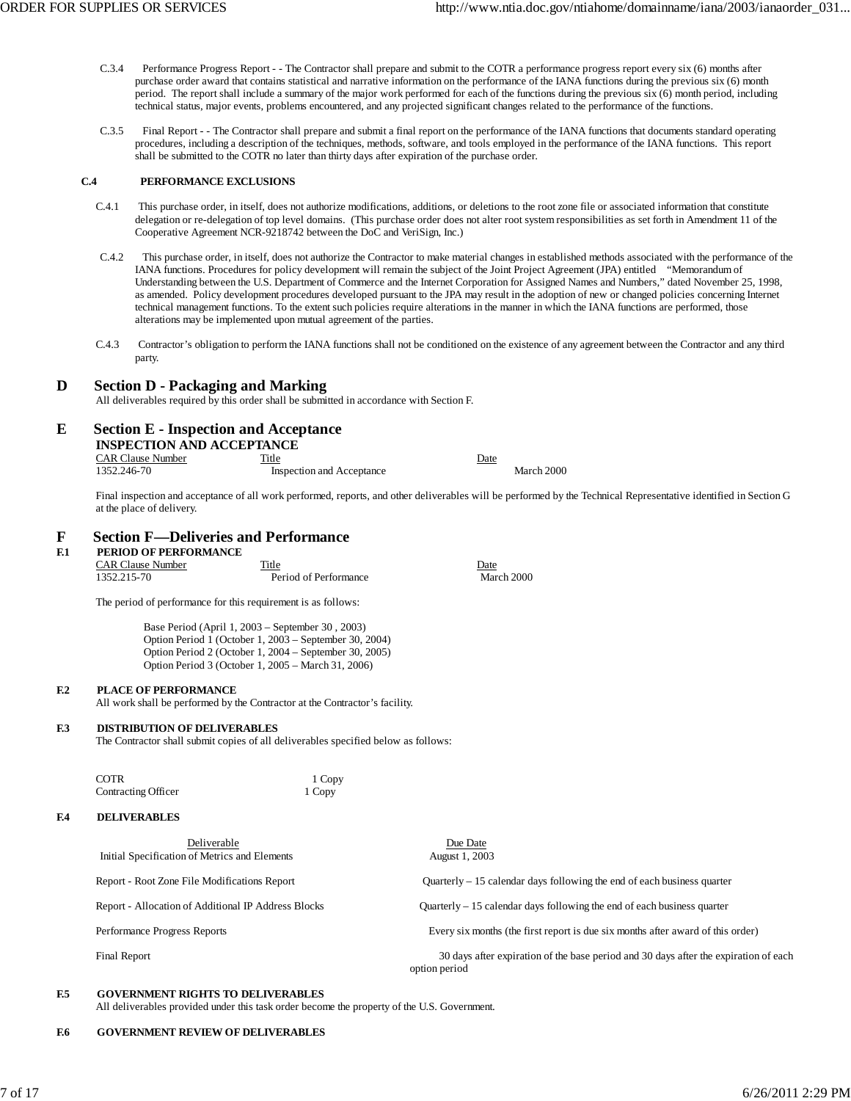- C.3.4 Performance Progress Report - The Contractor shall prepare and submit to the COTR a performance progress report every six (6) months after purchase order award that contains statistical and narrative information on the performance of the IANA functions during the previous six (6) month period. The report shall include a summary of the major work performed for each of the functions during the previous six (6) month period, including technical status, major events, problems encountered, and any projected significant changes related to the performance of the functions.
- C.3.5 Final Report - The Contractor shall prepare and submit a final report on the performance of the IANA functions that documents standard operating procedures, including a description of the techniques, methods, software, and tools employed in the performance of the IANA functions. This report shall be submitted to the COTR no later than thirty days after expiration of the purchase order.

### **C.4 PERFORMANCE EXCLUSIONS**

- C.4.1 This purchase order, in itself, does not authorize modifications, additions, or deletions to the root zone file or associated information that constitute delegation or re-delegation of top level domains. (This purchase order does not alter root system responsibilities as set forth in Amendment 11 of the Cooperative Agreement NCR-9218742 between the DoC and VeriSign, Inc.)
- C.4.2 This purchase order, in itself, does not authorize the Contractor to make material changes in established methods associated with the performance of the IANA functions. Procedures for policy development will remain the subject of the Joint Project Agreement (JPA) entitled "Memorandum of Understanding between the U.S. Department of Commerce and the Internet Corporation for Assigned Names and Numbers," dated November 25, 1998, as amended. Policy development procedures developed pursuant to the JPA may result in the adoption of new or changed policies concerning Internet technical management functions. To the extent such policies require alterations in the manner in which the IANA functions are performed, those alterations may be implemented upon mutual agreement of the parties.
- C.4.3 Contractor's obligation to perform the IANA functions shall not be conditioned on the existence of any agreement between the Contractor and any third party.

# **D Section D - Packaging and Marking**

All deliverables required by this order shall be submitted in accordance with Section F.

# **E Section E - Inspection and Acceptance**

# **INSPECTION AND ACCEPTANCE**

| CAR Clause Number | Title                     | Date       |
|-------------------|---------------------------|------------|
| 1352.246-70       | Inspection and Acceptance | March 2000 |

Final inspection and acceptance of all work performed, reports, and other deliverables will be performed by the Technical Representative identified in Section G at the place of delivery.

| F |  |  | <b>Section F-Deliveries and Performance</b> |
|---|--|--|---------------------------------------------|
|   |  |  |                                             |

| F.1 | PERIOD OF PERFORMANCE    |                       |            |
|-----|--------------------------|-----------------------|------------|
|     | <b>CAR Clause Number</b> | Title                 | Date       |
|     | 1352.215-70              | Period of Performance | March 2000 |

The period of performance for this requirement is as follows:

 Base Period (April 1, 2003 – September 30 , 2003) Option Period 1 (October 1, 2003 – September 30, 2004) Option Period 2 (October 1, 2004 – September 30, 2005) Option Period 3 (October 1, 2005 – March 31, 2006)

# **F.2 PLACE OF PERFORMANCE**

All work shall be performed by the Contractor at the Contractor's facility.

# **F.3 DISTRIBUTION OF DELIVERABLES**

The Contractor shall submit copies of all deliverables specified below as follows:

| COTR                | 1 Copy |
|---------------------|--------|
| Contracting Officer | 1 Copy |

# **F.4 DELIVERABLES**

| Deliverable<br>Initial Specification of Metrics and Elements | Due Date<br>August 1, 2003                                                                            |
|--------------------------------------------------------------|-------------------------------------------------------------------------------------------------------|
| Report - Root Zone File Modifications Report                 | $Quarterly - 15$ calendar days following the end of each business quarter                             |
| Report - Allocation of Additional IP Address Blocks          | Quarterly $-15$ calendar days following the end of each business quarter                              |
| Performance Progress Reports                                 | Every six months (the first report is due six months after award of this order)                       |
| Final Report                                                 | 30 days after expiration of the base period and 30 days after the expiration of each<br>option period |

## **F.5 GOVERNMENT RIGHTS TO DELIVERABLES**

All deliverables provided under this task order become the property of the U.S. Government.

#### **F.6 GOVERNMENT REVIEW OF DELIVERABLES**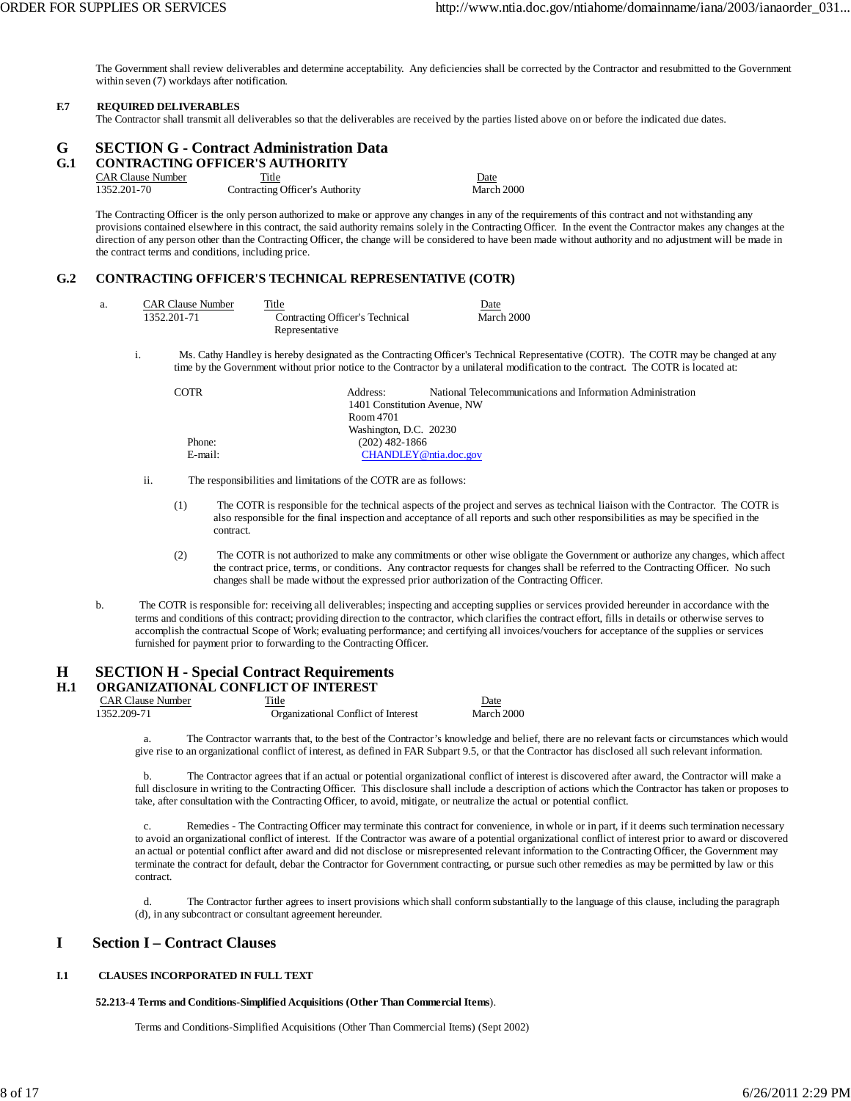The Government shall review deliverables and determine acceptability. Any deficiencies shall be corrected by the Contractor and resubmitted to the Government within seven (7) workdays after notification.

#### **F.7 REQUIRED DELIVERABLES**

The Contractor shall transmit all deliverables so that the deliverables are received by the parties listed above on or before the indicated due dates.

# **G SECTION G - Contract Administration Data**

# **G.1 CONTRACTING OFFICER'S AUTHORITY**

| <b>CAR Clause Number</b> | Title                           | Date       |
|--------------------------|---------------------------------|------------|
| 1352.201-70              | Contracting Officer's Authority | March 2000 |

The Contracting Officer is the only person authorized to make or approve any changes in any of the requirements of this contract and not withstanding any provisions contained elsewhere in this contract, the said authority remains solely in the Contracting Officer. In the event the Contractor makes any changes at the direction of any person other than the Contracting Officer, the change will be considered to have been made without authority and no adjustment will be made in the contract terms and conditions, including price.

# **G.2 CONTRACTING OFFICER'S TECHNICAL REPRESENTATIVE (COTR)**

| a. | <b>CAR Clause Number</b> | Title                                                                                                                                                                                                                                                                      | Date       |  |
|----|--------------------------|----------------------------------------------------------------------------------------------------------------------------------------------------------------------------------------------------------------------------------------------------------------------------|------------|--|
|    | 1352.201-71              | Contracting Officer's Technical                                                                                                                                                                                                                                            | March 2000 |  |
|    |                          | Representative                                                                                                                                                                                                                                                             |            |  |
|    |                          | Ms. Cathy Handley is hereby designated as the Contracting Officer's Technical Representative (COTR). The COTR may be changed at any<br>time by the Government without prior notice to the Contractor by a unilateral modification to the contract. The COTR is located at: |            |  |

| COTR    | Address:                     | National Telecommunications and Information Administration |
|---------|------------------------------|------------------------------------------------------------|
|         | 1401 Constitution Avenue, NW |                                                            |
|         | Room 4701                    |                                                            |
|         | Washington, D.C. 20230       |                                                            |
| Phone:  | $(202)$ 482-1866             |                                                            |
| E-mail: | CHANDLEY@ntia.doc.gov        |                                                            |

ii. The responsibilities and limitations of the COTR are as follows:

- (1) The COTR is responsible for the technical aspects of the project and serves as technical liaison with the Contractor. The COTR is also responsible for the final inspection and acceptance of all reports and such other responsibilities as may be specified in the contract.
- (2) The COTR is not authorized to make any commitments or other wise obligate the Government or authorize any changes, which affect the contract price, terms, or conditions. Any contractor requests for changes shall be referred to the Contracting Officer. No such changes shall be made without the expressed prior authorization of the Contracting Officer.
- b. The COTR is responsible for: receiving all deliverables; inspecting and accepting supplies or services provided hereunder in accordance with the terms and conditions of this contract; providing direction to the contractor, which clarifies the contract effort, fills in details or otherwise serves to accomplish the contractual Scope of Work; evaluating performance; and certifying all invoices/vouchers for acceptance of the supplies or services furnished for payment prior to forwarding to the Contracting Officer.

# **H SECTION H - Special Contract Requirements**

| H.1 | ORGANIZATIONAL CONFLICT OF INTEREST |                                     |            |  |
|-----|-------------------------------------|-------------------------------------|------------|--|
|     | <b>CAR Clause Number</b>            | Title                               | Date       |  |
|     | 1352.209-71                         | Organizational Conflict of Interest | March 2000 |  |

 a. The Contractor warrants that, to the best of the Contractor's knowledge and belief, there are no relevant facts or circumstances which would give rise to an organizational conflict of interest, as defined in FAR Subpart 9.5, or that the Contractor has disclosed all such relevant information.

 b. The Contractor agrees that if an actual or potential organizational conflict of interest is discovered after award, the Contractor will make a full disclosure in writing to the Contracting Officer. This disclosure shall include a description of actions which the Contractor has taken or proposes to take, after consultation with the Contracting Officer, to avoid, mitigate, or neutralize the actual or potential conflict.

 c. Remedies - The Contracting Officer may terminate this contract for convenience, in whole or in part, if it deems such termination necessary to avoid an organizational conflict of interest. If the Contractor was aware of a potential organizational conflict of interest prior to award or discovered an actual or potential conflict after award and did not disclose or misrepresented relevant information to the Contracting Officer, the Government may terminate the contract for default, debar the Contractor for Government contracting, or pursue such other remedies as may be permitted by law or this contract.

 d. The Contractor further agrees to insert provisions which shall conform substantially to the language of this clause, including the paragraph (d), in any subcontract or consultant agreement hereunder.

# **I Section I – Contract Clauses**

#### **I.1 CLAUSES INCORPORATED IN FULL TEXT**

**52.213-4 Terms and Conditions-Simplified Acquisitions (Other Than Commercial Items**).

Terms and Conditions-Simplified Acquisitions (Other Than Commercial Items) (Sept 2002)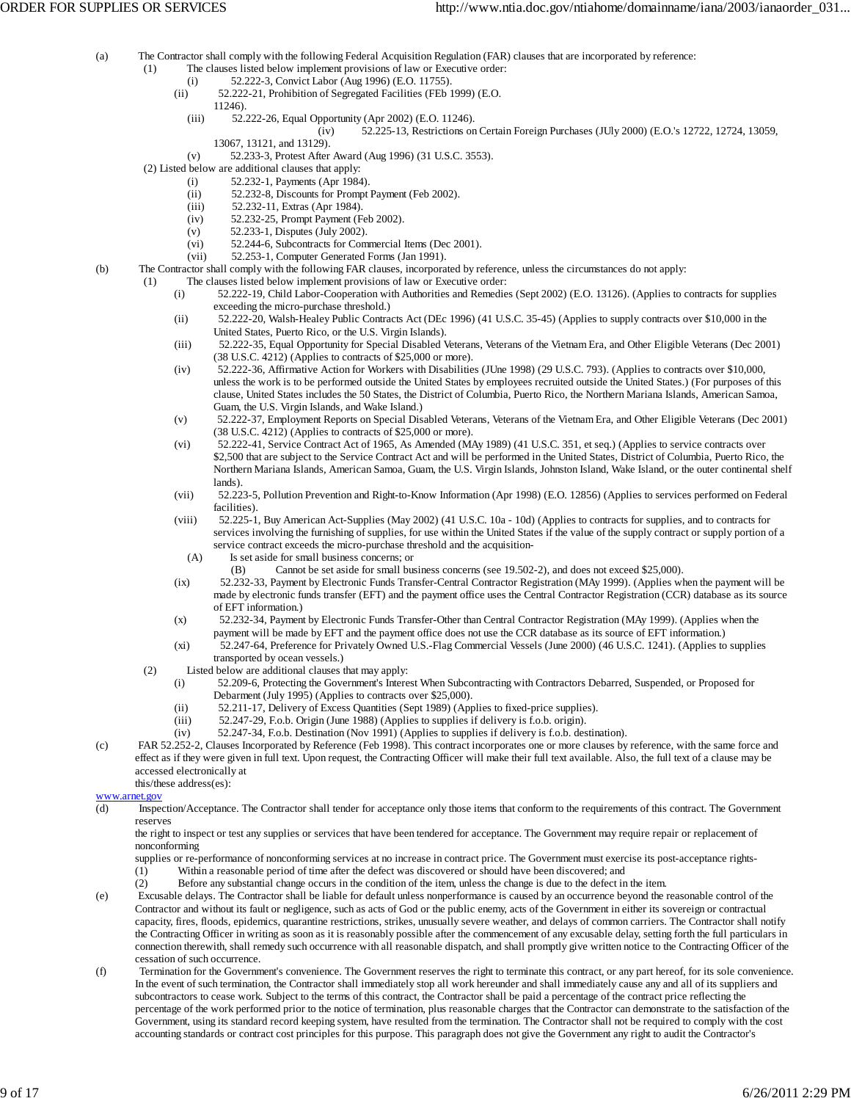- (a) The Contractor shall comply with the following Federal Acquisition Regulation (FAR) clauses that are incorporated by reference:
	- (1) The clauses listed below implement provisions of law or Executive order:
		- (i) 52.222-3, Convict Labor (Aug 1996) (E.O. 11755).
		- (ii) 52.222-21, Prohibition of Segregated Facilities (FEb 1999) (E.O.
		- 11246).
			- (iii) 52.222-26, Equal Opportunity (Apr 2002) (E.O. 11246).
				- (iv) 52.225-13, Restrictions on Certain Foreign Purchases (JUly 2000) (E.O.'s 12722, 12724, 13059,
					- 13067, 13121, and 13129).
			- (v) 52.233-3, Protest After Award (Aug 1996) (31 U.S.C. 3553).
	- (2) Listed below are additional clauses that apply:
		- (i) 52.232-1, Payments (Apr 1984).
		- (ii) 52.232-8, Discounts for Prompt Payment (Feb 2002).
		- (iii) 52.232-11, Extras (Apr 1984).
		- (iv) 52.232-25, Prompt Payment (Feb 2002).
		- (v) 52.233-1, Disputes (July 2002).
		- (vi) 52.244-6, Subcontracts for Commercial Items (Dec 2001).
		- (vii) 52.253-1, Computer Generated Forms (Jan 1991).
- (b) The Contractor shall comply with the following FAR clauses, incorporated by reference, unless the circumstances do not apply:
	- (1) The clauses listed below implement provisions of law or Executive order:
		- (i) 52.222-19, Child Labor-Cooperation with Authorities and Remedies (Sept 2002) (E.O. 13126). (Applies to contracts for supplies exceeding the micro-purchase threshold.)
		- (ii) 52.222-20, Walsh-Healey Public Contracts Act (DEc 1996) (41 U.S.C. 35-45) (Applies to supply contracts over \$10,000 in the United States, Puerto Rico, or the U.S. Virgin Islands).
		- (iii) 52.222-35, Equal Opportunity for Special Disabled Veterans, Veterans of the Vietnam Era, and Other Eligible Veterans (Dec 2001) (38 U.S.C. 4212) (Applies to contracts of \$25,000 or more).
		- (iv) 52.222-36, Affirmative Action for Workers with Disabilities (JUne 1998) (29 U.S.C. 793). (Applies to contracts over \$10,000, unless the work is to be performed outside the United States by employees recruited outside the United States.) (For purposes of this clause, United States includes the 50 States, the District of Columbia, Puerto Rico, the Northern Mariana Islands, American Samoa, Guam, the U.S. Virgin Islands, and Wake Island.)
		- (v) 52.222-37, Employment Reports on Special Disabled Veterans, Veterans of the Vietnam Era, and Other Eligible Veterans (Dec 2001) (38 U.S.C. 4212) (Applies to contracts of \$25,000 or more).
		- (vi) 52.222-41, Service Contract Act of 1965, As Amended (MAy 1989) (41 U.S.C. 351, et seq.) (Applies to service contracts over \$2,500 that are subject to the Service Contract Act and will be performed in the United States, District of Columbia, Puerto Rico, the Northern Mariana Islands, American Samoa, Guam, the U.S. Virgin Islands, Johnston Island, Wake Island, or the outer continental shelf lands).
		- (vii) 52.223-5, Pollution Prevention and Right-to-Know Information (Apr 1998) (E.O. 12856) (Applies to services performed on Federal facilities).
		- (viii) 52.225-1, Buy American Act-Supplies (May 2002) (41 U.S.C. 10a 10d) (Applies to contracts for supplies, and to contracts for services involving the furnishing of supplies, for use within the United States if the value of the supply contract or supply portion of a service contract exceeds the micro-purchase threshold and the acquisition-
			- (A) Is set aside for small business concerns; or
				- (B) Cannot be set aside for small business concerns (see 19.502-2), and does not exceed \$25,000).
		- (ix) 52.232-33, Payment by Electronic Funds Transfer-Central Contractor Registration (MAy 1999). (Applies when the payment will be made by electronic funds transfer (EFT) and the payment office uses the Central Contractor Registration (CCR) database as its source of EFT information.)
		- (x) 52.232-34, Payment by Electronic Funds Transfer-Other than Central Contractor Registration (MAy 1999). (Applies when the payment will be made by EFT and the payment office does not use the CCR database as its source of EFT information.)
		- (xi) 52.247-64, Preference for Privately Owned U.S.-Flag Commercial Vessels (June 2000) (46 U.S.C. 1241). (Applies to supplies transported by ocean vessels.)
	- (2) Listed below are additional clauses that may apply:
		- (i) 52.209-6, Protecting the Government's Interest When Subcontracting with Contractors Debarred, Suspended, or Proposed for Debarment (July 1995) (Applies to contracts over \$25,000).
		- (ii) 52.211-17, Delivery of Excess Quantities (Sept 1989) (Applies to fixed-price supplies).
		- (iii) 52.247-29, F.o.b. Origin (June 1988) (Applies to supplies if delivery is f.o.b. origin).
		- (iv) 52.247-34, F.o.b. Destination (Nov 1991) (Applies to supplies if delivery is f.o.b. destination).
- (c) FAR 52.252-2, Clauses Incorporated by Reference (Feb 1998). This contract incorporates one or more clauses by reference, with the same force and effect as if they were given in full text. Upon request, the Contracting Officer will make their full text available. Also, the full text of a clause may be accessed electronically at this/these address(es):

www.arnet.gov

- 
- (d) Inspection/Acceptance. The Contractor shall tender for acceptance only those items that conform to the requirements of this contract. The Government reserves

the right to inspect or test any supplies or services that have been tendered for acceptance. The Government may require repair or replacement of nonconforming

supplies or re-performance of nonconforming services at no increase in contract price. The Government must exercise its post-acceptance rights-

- (1) Within a reasonable period of time after the defect was discovered or should have been discovered; and
- (2) Before any substantial change occurs in the condition of the item, unless the change is due to the defect in the item. (e) Excusable delays. The Contractor shall be liable for default unless nonperformance is caused by an occurrence beyond the reasonable control of the Contractor and without its fault or negligence, such as acts of God or the public enemy, acts of the Government in either its sovereign or contractual capacity, fires, floods, epidemics, quarantine restrictions, strikes, unusually severe weather, and delays of common carriers. The Contractor shall notify the Contracting Officer in writing as soon as it is reasonably possible after the commencement of any excusable delay, setting forth the full particulars in connection therewith, shall remedy such occurrence with all reasonable dispatch, and shall promptly give written notice to the Contracting Officer of the
- cessation of such occurrence. (f) Termination for the Government's convenience. The Government reserves the right to terminate this contract, or any part hereof, for its sole convenience. In the event of such termination, the Contractor shall immediately stop all work hereunder and shall immediately cause any and all of its suppliers and subcontractors to cease work. Subject to the terms of this contract, the Contractor shall be paid a percentage of the contract price reflecting the percentage of the work performed prior to the notice of termination, plus reasonable charges that the Contractor can demonstrate to the satisfaction of the Government, using its standard record keeping system, have resulted from the termination. The Contractor shall not be required to comply with the cost accounting standards or contract cost principles for this purpose. This paragraph does not give the Government any right to audit the Contractor's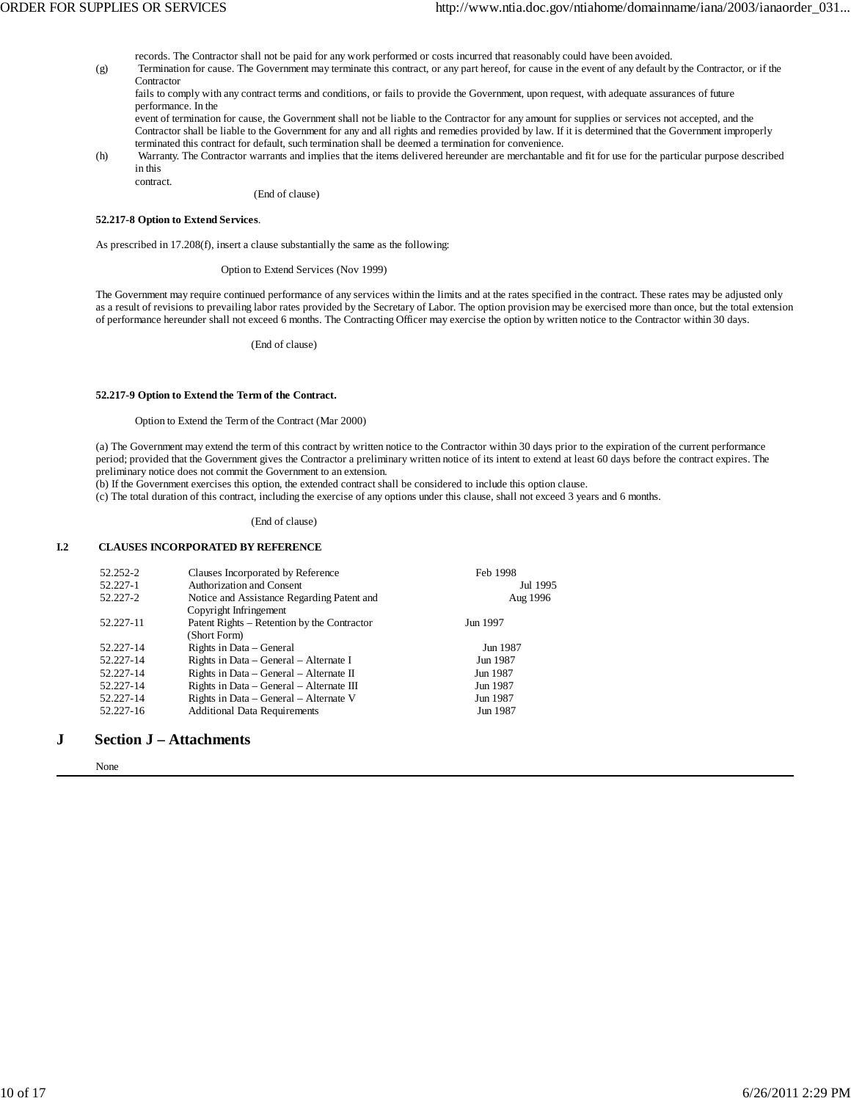records. The Contractor shall not be paid for any work performed or costs incurred that reasonably could have been avoided.

(g) Termination for cause. The Government may terminate this contract, or any part hereof, for cause in the event of any default by the Contractor, or if the **Contractor** 

fails to comply with any contract terms and conditions, or fails to provide the Government, upon request, with adequate assurances of future performance. In the

event of termination for cause, the Government shall not be liable to the Contractor for any amount for supplies or services not accepted, and the Contractor shall be liable to the Government for any and all rights and remedies provided by law. If it is determined that the Government improperly terminated this contract for default, such termination shall be deemed a termination for convenience.

(h) Warranty. The Contractor warrants and implies that the items delivered hereunder are merchantable and fit for use for the particular purpose described in this

(End of clause)

#### **52.217-8 Option to Extend Services**.

contract.

As prescribed in 17.208(f), insert a clause substantially the same as the following:

Option to Extend Services (Nov 1999)

The Government may require continued performance of any services within the limits and at the rates specified in the contract. These rates may be adjusted only as a result of revisions to prevailing labor rates provided by the Secretary of Labor. The option provision may be exercised more than once, but the total extension of performance hereunder shall not exceed 6 months. The Contracting Officer may exercise the option by written notice to the Contractor within 30 days.

(End of clause)

#### **52.217-9 Option to Extend the Term of the Contract.**

Option to Extend the Term of the Contract (Mar 2000)

(a) The Government may extend the term of this contract by written notice to the Contractor within 30 days prior to the expiration of the current performance period; provided that the Government gives the Contractor a preliminary written notice of its intent to extend at least 60 days before the contract expires. The preliminary notice does not commit the Government to an extension.

(b) If the Government exercises this option, the extended contract shall be considered to include this option clause.

(c) The total duration of this contract, including the exercise of any options under this clause, shall not exceed 3 years and 6 months.

(End of clause)

#### **I.2 CLAUSES INCORPORATED BY REFERENCE**

| 52.252-2  | Clauses Incorporated by Reference           | Feb 1998 |
|-----------|---------------------------------------------|----------|
| 52.227-1  | Authorization and Consent                   | Jul 1995 |
| 52.227-2  | Notice and Assistance Regarding Patent and  | Aug 1996 |
|           | Copyright Infringement                      |          |
| 52.227-11 | Patent Rights – Retention by the Contractor | Jun 1997 |
|           | (Short Form)                                |          |
| 52.227-14 | Rights in Data – General                    | Jun 1987 |
| 52.227-14 | Rights in Data – General – Alternate I      | Jun 1987 |
| 52.227-14 | Rights in Data - General - Alternate II     | Jun 1987 |
| 52.227-14 | Rights in Data – General – Alternate III    | Jun 1987 |
| 52.227-14 | Rights in Data – General – Alternate V      | Jun 1987 |
| 52.227-16 | <b>Additional Data Requirements</b>         | Jun 1987 |
|           |                                             |          |

# **J Section J – Attachments**

None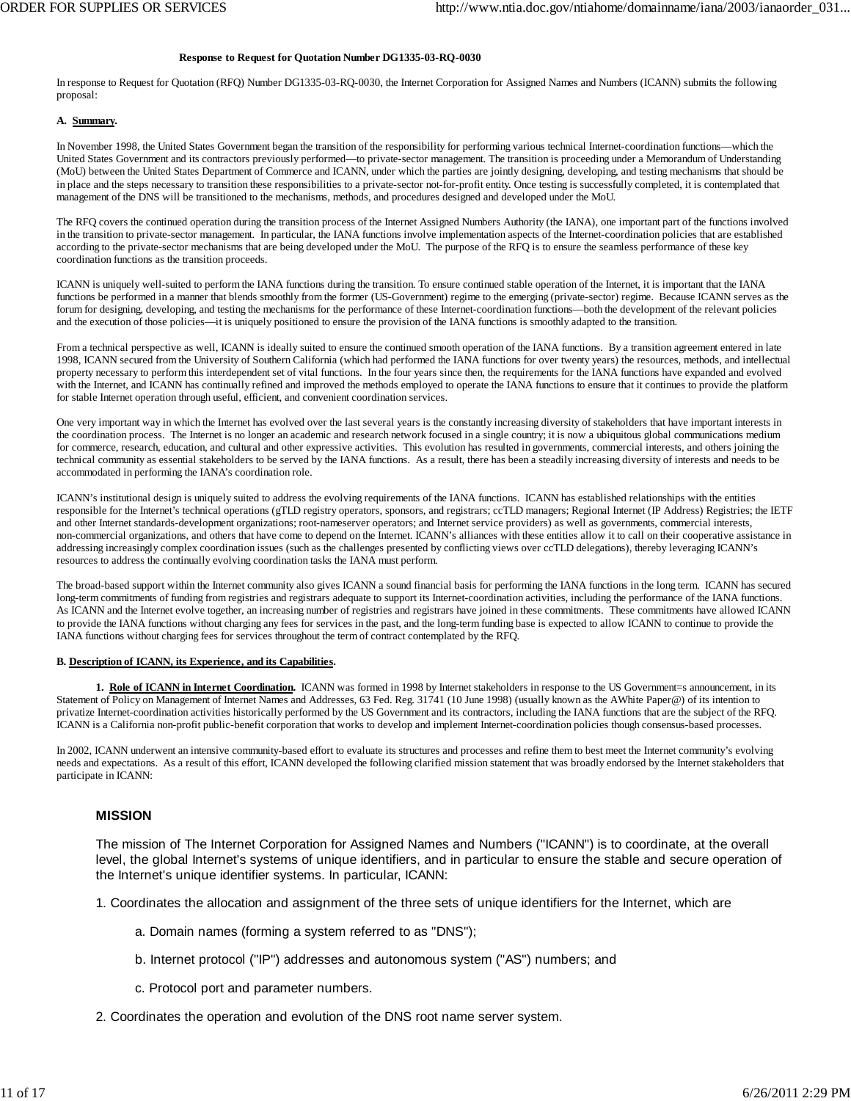#### **Response to Request for Quotation Number DG1335-03-RQ-0030**

In response to Request for Quotation (RFQ) Number DG1335-03-RQ-0030, the Internet Corporation for Assigned Names and Numbers (ICANN) submits the following proposal:

#### **A. Summary.**

In November 1998, the United States Government began the transition of the responsibility for performing various technical Internet-coordination functions—which the United States Government and its contractors previously performed—to private-sector management. The transition is proceeding under a Memorandum of Understanding (MoU) between the United States Department of Commerce and ICANN, under which the parties are jointly designing, developing, and testing mechanisms that should be in place and the steps necessary to transition these responsibilities to a private-sector not-for-profit entity. Once testing is successfully completed, it is contemplated that management of the DNS will be transitioned to the mechanisms, methods, and procedures designed and developed under the MoU.

The RFQ covers the continued operation during the transition process of the Internet Assigned Numbers Authority (the IANA), one important part of the functions involved in the transition to private-sector management. In particular, the IANA functions involve implementation aspects of the Internet-coordination policies that are established according to the private-sector mechanisms that are being developed under the MoU. The purpose of the RFQ is to ensure the seamless performance of these key coordination functions as the transition proceeds.

ICANN is uniquely well-suited to perform the IANA functions during the transition. To ensure continued stable operation of the Internet, it is important that the IANA functions be performed in a manner that blends smoothly from the former (US-Government) regime to the emerging (private-sector) regime. Because ICANN serves as the forum for designing, developing, and testing the mechanisms for the performance of these Internet-coordination functions—both the development of the relevant policies and the execution of those policies—it is uniquely positioned to ensure the provision of the IANA functions is smoothly adapted to the transition.

From a technical perspective as well, ICANN is ideally suited to ensure the continued smooth operation of the IANA functions. By a transition agreement entered in late 1998, ICANN secured from the University of Southern California (which had performed the IANA functions for over twenty years) the resources, methods, and intellectual property necessary to perform this interdependent set of vital functions. In the four years since then, the requirements for the IANA functions have expanded and evolved with the Internet, and ICANN has continually refined and improved the methods employed to operate the IANA functions to ensure that it continues to provide the platform for stable Internet operation through useful, efficient, and convenient coordination services.

One very important way in which the Internet has evolved over the last several years is the constantly increasing diversity of stakeholders that have important interests in the coordination process. The Internet is no longer an academic and research network focused in a single country; it is now a ubiquitous global communications medium for commerce, research, education, and cultural and other expressive activities. This evolution has resulted in governments, commercial interests, and others joining the technical community as essential stakeholders to be served by the IANA functions. As a result, there has been a steadily increasing diversity of interests and needs to be accommodated in performing the IANA's coordination role.

ICANN's institutional design is uniquely suited to address the evolving requirements of the IANA functions. ICANN has established relationships with the entities responsible for the Internet's technical operations (gTLD registry operators, sponsors, and registrars; ccTLD managers; Regional Internet (IP Address) Registries; the IETF and other Internet standards-development organizations; root-nameserver operators; and Internet service providers) as well as governments, commercial interests, non-commercial organizations, and others that have come to depend on the Internet. ICANN's alliances with these entities allow it to call on their cooperative assistance in addressing increasingly complex coordination issues (such as the challenges presented by conflicting views over ccTLD delegations), thereby leveraging ICANN's resources to address the continually evolving coordination tasks the IANA must perform.

The broad-based support within the Internet community also gives ICANN a sound financial basis for performing the IANA functions in the long term. ICANN has secured long-term commitments of funding from registries and registrars adequate to support its Internet-coordination activities, including the performance of the IANA functions. As ICANN and the Internet evolve together, an increasing number of registries and registrars have joined in these commitments. These commitments have allowed ICANN to provide the IANA functions without charging any fees for services in the past, and the long-term funding base is expected to allow ICANN to continue to provide the IANA functions without charging fees for services throughout the term of contract contemplated by the RFQ.

#### **B. Description of ICANN, its Experience, and its Capabilities.**

1. Role of ICANN in Internet Coordination. ICANN was formed in 1998 by Internet stakeholders in response to the US Government=s announcement, in its Statement of Policy on Management of Internet Names and Addresses, 63 Fed. Reg. 31741 (10 June 1998) (usually known as the AWhite Paper@) of its intention to privatize Internet-coordination activities historically performed by the US Government and its contractors, including the IANA functions that are the subject of the RFQ. ICANN is a California non-profit public-benefit corporation that works to develop and implement Internet-coordination policies though consensus-based processes.

In 2002, ICANN underwent an intensive community-based effort to evaluate its structures and processes and refine them to best meet the Internet community's evolving needs and expectations. As a result of this effort, ICANN developed the following clarified mission statement that was broadly endorsed by the Internet stakeholders that participate in ICANN:

# **MISSION**

The mission of The Internet Corporation for Assigned Names and Numbers ("ICANN") is to coordinate, at the overall level, the global Internet's systems of unique identifiers, and in particular to ensure the stable and secure operation of the Internet's unique identifier systems. In particular, ICANN:

- 1. Coordinates the allocation and assignment of the three sets of unique identifiers for the Internet, which are
	- a. Domain names (forming a system referred to as "DNS");
	- b. Internet protocol ("IP") addresses and autonomous system ("AS") numbers; and
	- c. Protocol port and parameter numbers.
- 2. Coordinates the operation and evolution of the DNS root name server system.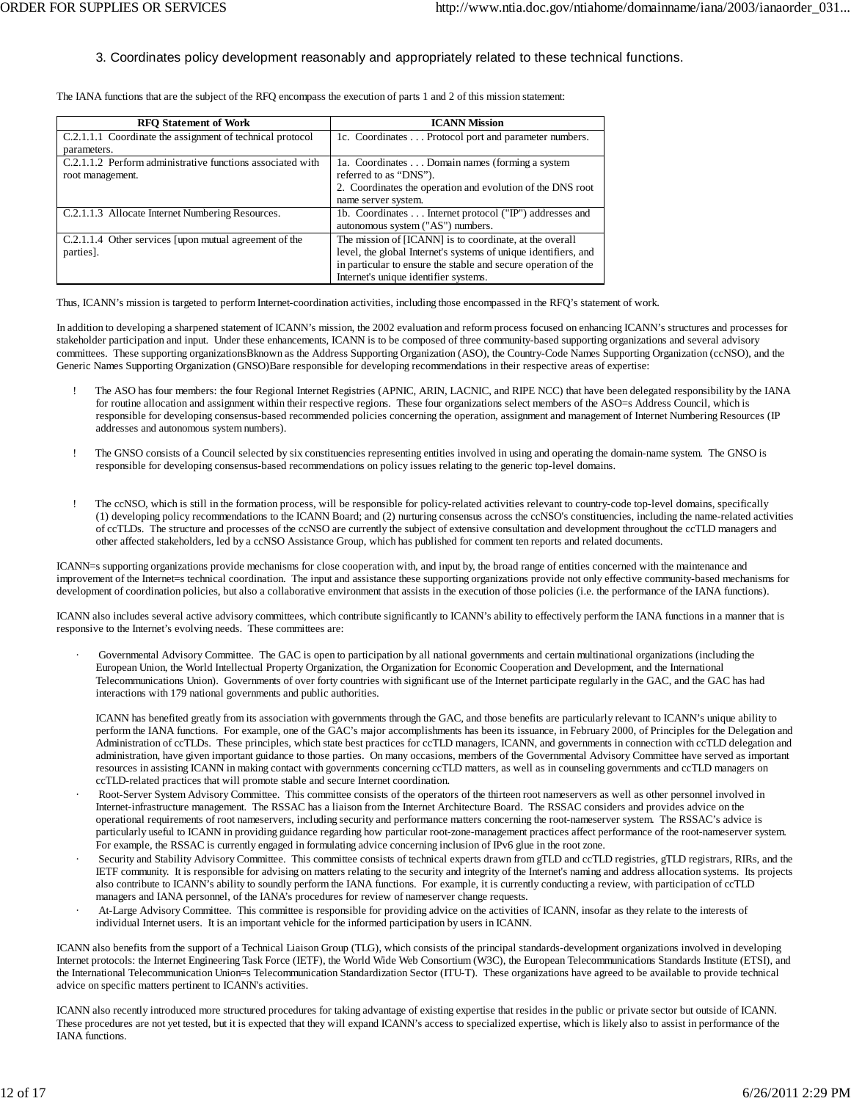# 3. Coordinates policy development reasonably and appropriately related to these technical functions.

The IANA functions that are the subject of the RFQ encompass the execution of parts 1 and 2 of this mission statement:

| <b>RFO</b> Statement of Work                               | <b>ICANN Mission</b>                                            |
|------------------------------------------------------------|-----------------------------------------------------------------|
| C.2.1.1.1 Coordinate the assignment of technical protocol  | 1c. Coordinates Protocol port and parameter numbers.            |
| parameters.                                                |                                                                 |
| C.2.1.1.2 Perform administrative functions associated with | 1a. Coordinates  Domain names (forming a system                 |
| root management.                                           | referred to as "DNS").                                          |
|                                                            | 2. Coordinates the operation and evolution of the DNS root      |
|                                                            | name server system.                                             |
| C.2.1.1.3 Allocate Internet Numbering Resources.           | 1b. Coordinates Internet protocol ("IP") addresses and          |
|                                                            | autonomous system ("AS") numbers.                               |
| C.2.1.1.4 Other services [upon mutual agreement of the     | The mission of [ICANN] is to coordinate, at the overall         |
| parties].                                                  | level, the global Internet's systems of unique identifiers, and |
|                                                            | in particular to ensure the stable and secure operation of the  |
|                                                            | Internet's unique identifier systems.                           |

Thus, ICANN's mission is targeted to perform Internet-coordination activities, including those encompassed in the RFQ's statement of work.

In addition to developing a sharpened statement of ICANN's mission, the 2002 evaluation and reform process focused on enhancing ICANN's structures and processes for stakeholder participation and input. Under these enhancements, ICANN is to be composed of three community-based supporting organizations and several advisory committees. These supporting organizationsBknown as the Address Supporting Organization (ASO), the Country-Code Names Supporting Organization (ccNSO), and the Generic Names Supporting Organization (GNSO)Bare responsible for developing recommendations in their respective areas of expertise:

- ! The ASO has four members: the four Regional Internet Registries (APNIC, ARIN, LACNIC, and RIPE NCC) that have been delegated responsibility by the IANA for routine allocation and assignment within their respective regions. These four organizations select members of the ASO=s Address Council, which is responsible for developing consensus-based recommended policies concerning the operation, assignment and management of Internet Numbering Resources (IP addresses and autonomous system numbers).
- ! The GNSO consists of a Council selected by six constituencies representing entities involved in using and operating the domain-name system. The GNSO is responsible for developing consensus-based recommendations on policy issues relating to the generic top-level domains.
- The ccNSO, which is still in the formation process, will be responsible for policy-related activities relevant to country-code top-level domains, specifically (1) developing policy recommendations to the ICANN Board; and (2) nurturing consensus across the ccNSO's constituencies, including the name-related activities of ccTLDs. The structure and processes of the ccNSO are currently the subject of extensive consultation and development throughout the ccTLD managers and other affected stakeholders, led by a ccNSO Assistance Group, which has published for comment ten reports and related documents.

ICANN=s supporting organizations provide mechanisms for close cooperation with, and input by, the broad range of entities concerned with the maintenance and improvement of the Internet=s technical coordination. The input and assistance these supporting organizations provide not only effective community-based mechanisms for development of coordination policies, but also a collaborative environment that assists in the execution of those policies (i.e. the performance of the IANA functions).

ICANN also includes several active advisory committees, which contribute significantly to ICANN's ability to effectively perform the IANA functions in a manner that is responsive to the Internet's evolving needs. These committees are:

- Governmental Advisory Committee. The GAC is open to participation by all national governments and certain multinational organizations (including the European Union, the World Intellectual Property Organization, the Organization for Economic Cooperation and Development, and the International Telecommunications Union). Governments of over forty countries with significant use of the Internet participate regularly in the GAC, and the GAC has had interactions with 179 national governments and public authorities.
	- ICANN has benefited greatly from its association with governments through the GAC, and those benefits are particularly relevant to ICANN's unique ability to perform the IANA functions. For example, one of the GAC's major accomplishments has been its issuance, in February 2000, of Principles for the Delegation and Administration of ccTLDs. These principles, which state best practices for ccTLD managers, ICANN, and governments in connection with ccTLD delegation and administration, have given important guidance to those parties. On many occasions, members of the Governmental Advisory Committee have served as important resources in assisting ICANN in making contact with governments concerning ccTLD matters, as well as in counseling governments and ccTLD managers on ccTLD-related practices that will promote stable and secure Internet coordination.
- · Root-Server System Advisory Committee. This committee consists of the operators of the thirteen root nameservers as well as other personnel involved in Internet-infrastructure management. The RSSAC has a liaison from the Internet Architecture Board. The RSSAC considers and provides advice on the operational requirements of root nameservers, including security and performance matters concerning the root-nameserver system. The RSSAC's advice is particularly useful to ICANN in providing guidance regarding how particular root-zone-management practices affect performance of the root-nameserver system. For example, the RSSAC is currently engaged in formulating advice concerning inclusion of IPv6 glue in the root zone.
- Security and Stability Advisory Committee. This committee consists of technical experts drawn from gTLD and ccTLD registries, gTLD registrars, RIRs, and the IETF community. It is responsible for advising on matters relating to the security and integrity of the Internet's naming and address allocation systems. Its projects also contribute to ICANN's ability to soundly perform the IANA functions. For example, it is currently conducting a review, with participation of ccTLD managers and IANA personnel, of the IANA's procedures for review of nameserver change requests.
- · At-Large Advisory Committee. This committee is responsible for providing advice on the activities of ICANN, insofar as they relate to the interests of individual Internet users. It is an important vehicle for the informed participation by users in ICANN.

ICANN also benefits from the support of a Technical Liaison Group (TLG), which consists of the principal standards-development organizations involved in developing Internet protocols: the Internet Engineering Task Force (IETF), the World Wide Web Consortium (W3C), the European Telecommunications Standards Institute (ETSI), and the International Telecommunication Union=s Telecommunication Standardization Sector (ITU-T). These organizations have agreed to be available to provide technical advice on specific matters pertinent to ICANN's activities.

ICANN also recently introduced more structured procedures for taking advantage of existing expertise that resides in the public or private sector but outside of ICANN. These procedures are not yet tested, but it is expected that they will expand ICANN's access to specialized expertise, which is likely also to assist in performance of the IANA functions.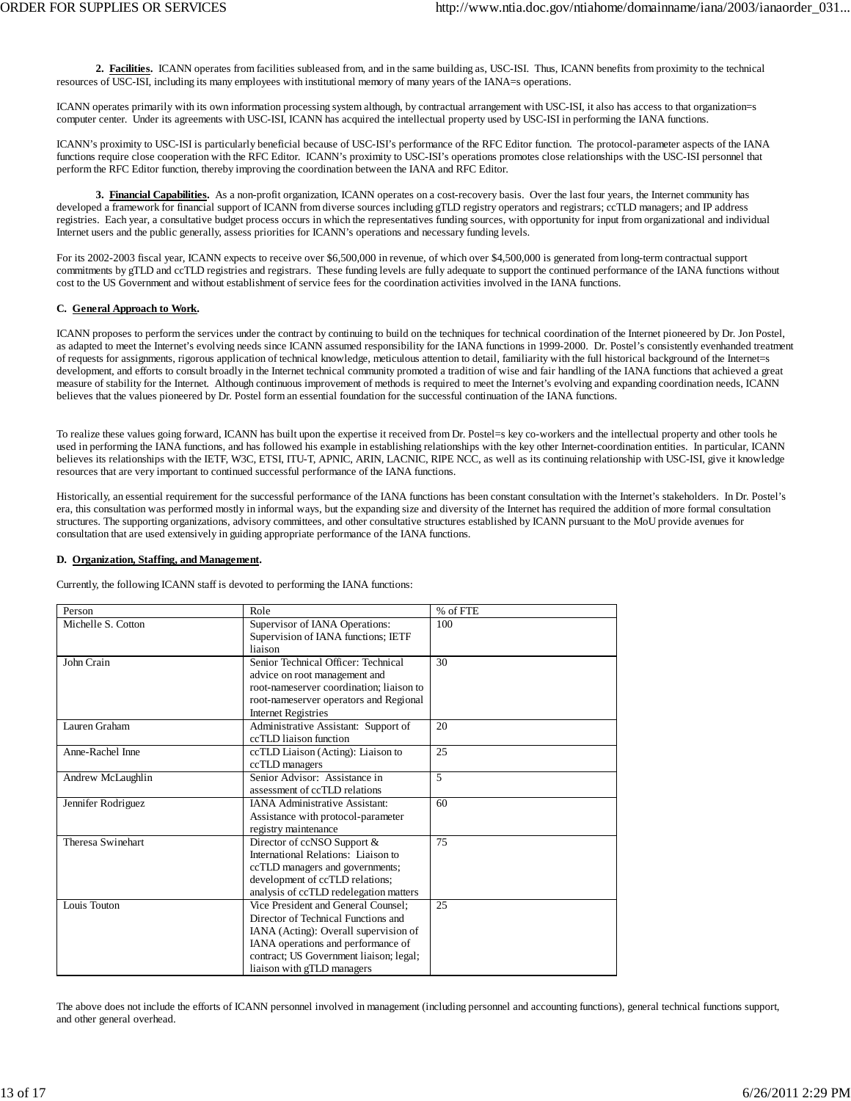**2. Facilities.** ICANN operates from facilities subleased from, and in the same building as, USC-ISI. Thus, ICANN benefits from proximity to the technical resources of USC-ISI, including its many employees with institutional memory of many years of the IANA=s operations.

ICANN operates primarily with its own information processing system although, by contractual arrangement with USC-ISI, it also has access to that organization=s computer center. Under its agreements with USC-ISI, ICANN has acquired the intellectual property used by USC-ISI in performing the IANA functions.

ICANN's proximity to USC-ISI is particularly beneficial because of USC-ISI's performance of the RFC Editor function. The protocol-parameter aspects of the IANA functions require close cooperation with the RFC Editor. ICANN's proximity to USC-ISI's operations promotes close relationships with the USC-ISI personnel that perform the RFC Editor function, thereby improving the coordination between the IANA and RFC Editor.

**3. Financial Capabilities.** As a non-profit organization, ICANN operates on a cost-recovery basis. Over the last four years, the Internet community has developed a framework for financial support of ICANN from diverse sources including gTLD registry operators and registrars; ccTLD managers; and IP address registries. Each year, a consultative budget process occurs in which the representatives funding sources, with opportunity for input from organizational and individual Internet users and the public generally, assess priorities for ICANN's operations and necessary funding levels.

For its 2002-2003 fiscal year, ICANN expects to receive over \$6,500,000 in revenue, of which over \$4,500,000 is generated from long-term contractual support commitments by gTLD and ccTLD registries and registrars. These funding levels are fully adequate to support the continued performance of the IANA functions without cost to the US Government and without establishment of service fees for the coordination activities involved in the IANA functions.

# **C. General Approach to Work.**

ICANN proposes to perform the services under the contract by continuing to build on the techniques for technical coordination of the Internet pioneered by Dr. Jon Postel, as adapted to meet the Internet's evolving needs since ICANN assumed responsibility for the IANA functions in 1999-2000. Dr. Postel's consistently evenhanded treatment of requests for assignments, rigorous application of technical knowledge, meticulous attention to detail, familiarity with the full historical background of the Internet=s development, and efforts to consult broadly in the Internet technical community promoted a tradition of wise and fair handling of the IANA functions that achieved a great measure of stability for the Internet. Although continuous improvement of methods is required to meet the Internet's evolving and expanding coordination needs, ICANN believes that the values pioneered by Dr. Postel form an essential foundation for the successful continuation of the IANA functions.

To realize these values going forward, ICANN has built upon the expertise it received from Dr. Postel=s key co-workers and the intellectual property and other tools he used in performing the IANA functions, and has followed his example in establishing relationships with the key other Internet-coordination entities. In particular, ICANN believes its relationships with the IETF, W3C, ETSI, ITU-T, APNIC, ARIN, LACNIC, RIPE NCC, as well as its continuing relationship with USC-ISI, give it knowledge resources that are very important to continued successful performance of the IANA functions.

Historically, an essential requirement for the successful performance of the IANA functions has been constant consultation with the Internet's stakeholders. In Dr. Postel's era, this consultation was performed mostly in informal ways, but the expanding size and diversity of the Internet has required the addition of more formal consultation structures. The supporting organizations, advisory committees, and other consultative structures established by ICANN pursuant to the MoU provide avenues for consultation that are used extensively in guiding appropriate performance of the IANA functions.

# **D. Organization, Staffing, and Management.**

Currently, the following ICANN staff is devoted to performing the IANA functions:

| Person             | Role                                     | % of FTE       |
|--------------------|------------------------------------------|----------------|
| Michelle S. Cotton | Supervisor of IANA Operations:           | 100            |
|                    | Supervision of IANA functions; IETF      |                |
|                    | liaison                                  |                |
| John Crain         | Senior Technical Officer: Technical      | 30             |
|                    | advice on root management and            |                |
|                    | root-nameserver coordination; liaison to |                |
|                    | root-nameserver operators and Regional   |                |
|                    | <b>Internet Registries</b>               |                |
| Lauren Graham      | Administrative Assistant: Support of     | 20             |
|                    | ccTLD liaison function                   |                |
| Anne-Rachel Inne   | ccTLD Liaison (Acting): Liaison to       | 25             |
|                    | ccTLD managers                           |                |
| Andrew McLaughlin  | Senior Advisor: Assistance in            | $\overline{5}$ |
|                    | assessment of ccTLD relations            |                |
| Jennifer Rodriguez | <b>IANA Administrative Assistant:</b>    | 60             |
|                    | Assistance with protocol-parameter       |                |
|                    | registry maintenance                     |                |
| Theresa Swinehart  | Director of ccNSO Support &              | 75             |
|                    | International Relations: Liaison to      |                |
|                    | ccTLD managers and governments;          |                |
|                    | development of ccTLD relations;          |                |
|                    | analysis of ccTLD redelegation matters   |                |
| Louis Touton       | Vice President and General Counsel:      | 25             |
|                    | Director of Technical Functions and      |                |
|                    | IANA (Acting): Overall supervision of    |                |
|                    | IANA operations and performance of       |                |
|                    | contract; US Government liaison; legal;  |                |
|                    | liaison with gTLD managers               |                |

The above does not include the efforts of ICANN personnel involved in management (including personnel and accounting functions), general technical functions support, and other general overhead.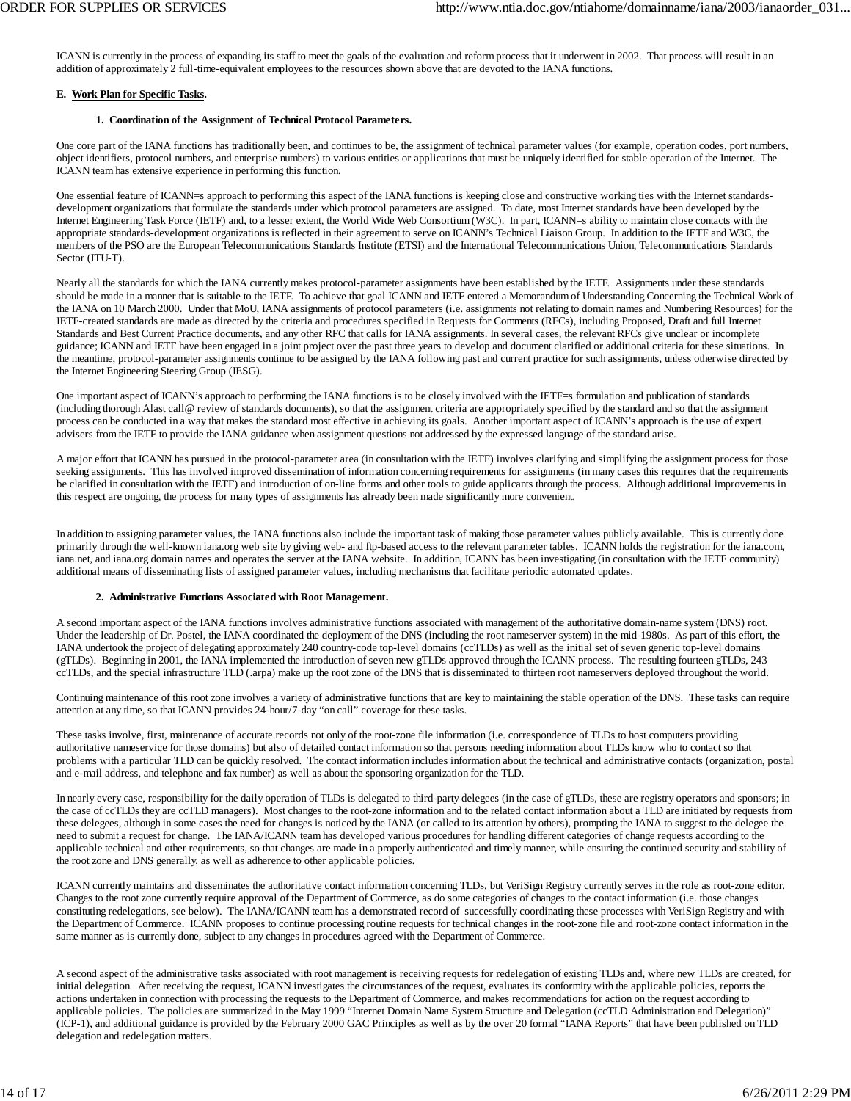ICANN is currently in the process of expanding its staff to meet the goals of the evaluation and reform process that it underwent in 2002. That process will result in an addition of approximately 2 full-time-equivalent employees to the resources shown above that are devoted to the IANA functions.

### **E. Work Plan for Specific Tasks.**

## **1. Coordination of the Assignment of Technical Protocol Parameters.**

One core part of the IANA functions has traditionally been, and continues to be, the assignment of technical parameter values (for example, operation codes, port numbers, object identifiers, protocol numbers, and enterprise numbers) to various entities or applications that must be uniquely identified for stable operation of the Internet. The ICANN team has extensive experience in performing this function.

One essential feature of ICANN=s approach to performing this aspect of the IANA functions is keeping close and constructive working ties with the Internet standardsdevelopment organizations that formulate the standards under which protocol parameters are assigned. To date, most Internet standards have been developed by the Internet Engineering Task Force (IETF) and, to a lesser extent, the World Wide Web Consortium (W3C). In part, ICANN=s ability to maintain close contacts with the appropriate standards-development organizations is reflected in their agreement to serve on ICANN's Technical Liaison Group. In addition to the IETF and W3C, the members of the PSO are the European Telecommunications Standards Institute (ETSI) and the International Telecommunications Union, Telecommunications Standards Sector (ITU-T).

Nearly all the standards for which the IANA currently makes protocol-parameter assignments have been established by the IETF. Assignments under these standards should be made in a manner that is suitable to the IETF. To achieve that goal ICANN and IETF entered a Memorandum of Understanding Concerning the Technical Work of the IANA on 10 March 2000. Under that MoU, IANA assignments of protocol parameters (i.e. assignments not relating to domain names and Numbering Resources) for the IETF-created standards are made as directed by the criteria and procedures specified in Requests for Comments (RFCs), including Proposed, Draft and full Internet Standards and Best Current Practice documents, and any other RFC that calls for IANA assignments. In several cases, the relevant RFCs give unclear or incomplete guidance; ICANN and IETF have been engaged in a joint project over the past three years to develop and document clarified or additional criteria for these situations. In the meantime, protocol-parameter assignments continue to be assigned by the IANA following past and current practice for such assignments, unless otherwise directed by the Internet Engineering Steering Group (IESG).

One important aspect of ICANN's approach to performing the IANA functions is to be closely involved with the IETF=s formulation and publication of standards (including thorough Alast call@ review of standards documents), so that the assignment criteria are appropriately specified by the standard and so that the assignment process can be conducted in a way that makes the standard most effective in achieving its goals. Another important aspect of ICANN's approach is the use of expert advisers from the IETF to provide the IANA guidance when assignment questions not addressed by the expressed language of the standard arise.

A major effort that ICANN has pursued in the protocol-parameter area (in consultation with the IETF) involves clarifying and simplifying the assignment process for those seeking assignments. This has involved improved dissemination of information concerning requirements for assignments (in many cases this requires that the requirements be clarified in consultation with the IETF) and introduction of on-line forms and other tools to guide applicants through the process. Although additional improvements in this respect are ongoing, the process for many types of assignments has already been made significantly more convenient.

In addition to assigning parameter values, the IANA functions also include the important task of making those parameter values publicly available. This is currently done primarily through the well-known iana.org web site by giving web- and ftp-based access to the relevant parameter tables. ICANN holds the registration for the iana.com, iana.net, and iana.org domain names and operates the server at the IANA website. In addition, ICANN has been investigating (in consultation with the IETF community) additional means of disseminating lists of assigned parameter values, including mechanisms that facilitate periodic automated updates.

#### **2. Administrative Functions Associated with Root Management.**

A second important aspect of the IANA functions involves administrative functions associated with management of the authoritative domain-name system (DNS) root. Under the leadership of Dr. Postel, the IANA coordinated the deployment of the DNS (including the root nameserver system) in the mid-1980s. As part of this effort, the IANA undertook the project of delegating approximately 240 country-code top-level domains (ccTLDs) as well as the initial set of seven generic top-level domains (gTLDs). Beginning in 2001, the IANA implemented the introduction of seven new gTLDs approved through the ICANN process. The resulting fourteen gTLDs, 243 ccTLDs, and the special infrastructure TLD (.arpa) make up the root zone of the DNS that is disseminated to thirteen root nameservers deployed throughout the world.

Continuing maintenance of this root zone involves a variety of administrative functions that are key to maintaining the stable operation of the DNS. These tasks can require attention at any time, so that ICANN provides 24-hour/7-day "on call" coverage for these tasks.

These tasks involve, first, maintenance of accurate records not only of the root-zone file information (i.e. correspondence of TLDs to host computers providing authoritative nameservice for those domains) but also of detailed contact information so that persons needing information about TLDs know who to contact so that problems with a particular TLD can be quickly resolved. The contact information includes information about the technical and administrative contacts (organization, postal and e-mail address, and telephone and fax number) as well as about the sponsoring organization for the TLD.

In nearly every case, responsibility for the daily operation of TLDs is delegated to third-party delegees (in the case of gTLDs, these are registry operators and sponsors; in the case of ccTLDs they are ccTLD managers). Most changes to the root-zone information and to the related contact information about a TLD are initiated by requests from these delegees, although in some cases the need for changes is noticed by the IANA (or called to its attention by others), prompting the IANA to suggest to the delegee the need to submit a request for change. The IANA/ICANN team has developed various procedures for handling different categories of change requests according to the applicable technical and other requirements, so that changes are made in a properly authenticated and timely manner, while ensuring the continued security and stability of the root zone and DNS generally, as well as adherence to other applicable policies.

ICANN currently maintains and disseminates the authoritative contact information concerning TLDs, but VeriSign Registry currently serves in the role as root-zone editor. Changes to the root zone currently require approval of the Department of Commerce, as do some categories of changes to the contact information (i.e. those changes constituting redelegations, see below). The IANA/ICANN team has a demonstrated record of successfully coordinating these processes with VeriSign Registry and with the Department of Commerce. ICANN proposes to continue processing routine requests for technical changes in the root-zone file and root-zone contact information in the same manner as is currently done, subject to any changes in procedures agreed with the Department of Commerce.

A second aspect of the administrative tasks associated with root management is receiving requests for redelegation of existing TLDs and, where new TLDs are created, for initial delegation. After receiving the request, ICANN investigates the circumstances of the request, evaluates its conformity with the applicable policies, reports the actions undertaken in connection with processing the requests to the Department of Commerce, and makes recommendations for action on the request according to applicable policies. The policies are summarized in the May 1999 "Internet Domain Name System Structure and Delegation (ccTLD Administration and Delegation)" (ICP-1), and additional guidance is provided by the February 2000 GAC Principles as well as by the over 20 formal "IANA Reports" that have been published on TLD delegation and redelegation matters.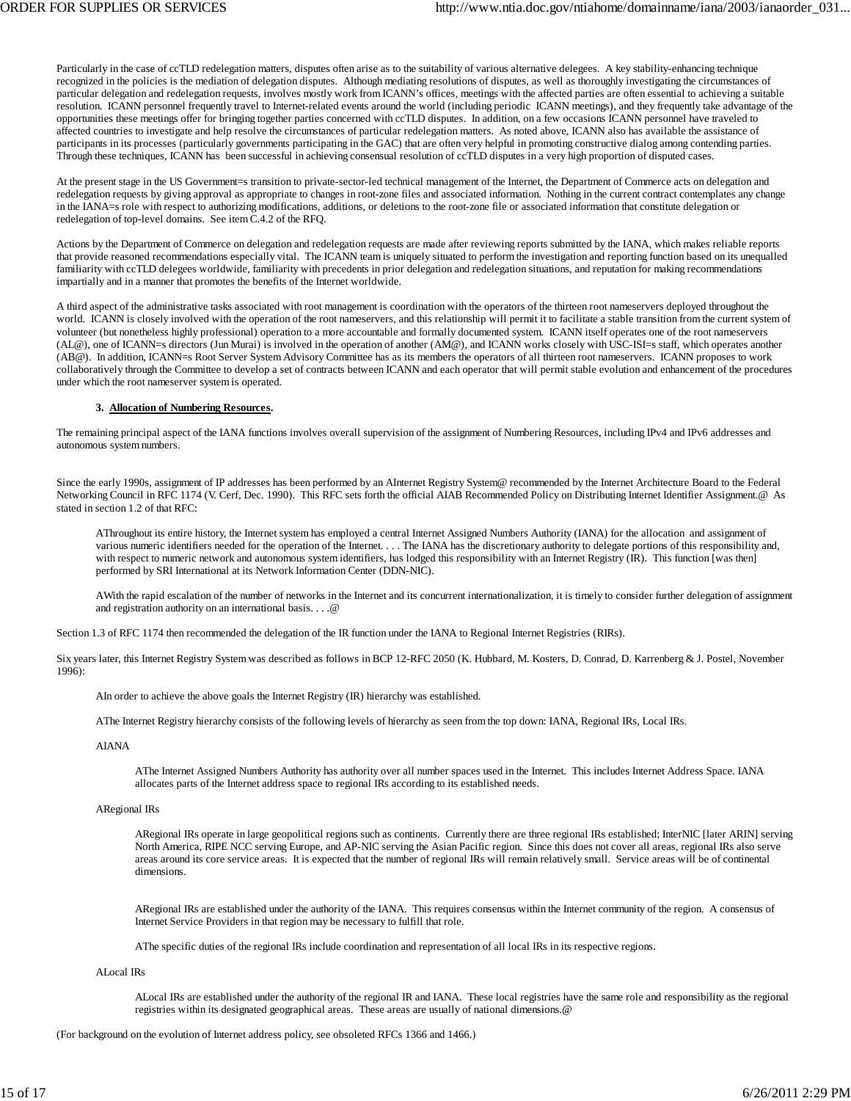Particularly in the case of ccTLD redelegation matters, disputes often arise as to the suitability of various alternative delegees. A key stability-enhancing technique recognized in the policies is the mediation of delegation disputes. Although mediating resolutions of disputes, as well as thoroughly investigating the circumstances of particular delegation and redelegation requests, involves mostly work from ICANN's offices, meetings with the affected parties are often essential to achieving a suitable resolution. ICANN personnel frequently travel to Internet-related events around the world (including periodic ICANN meetings), and they frequently take advantage of the opportunities these meetings offer for bringing together parties concerned with ccTLD disputes. In addition, on a few occasions ICANN personnel have traveled to affected countries to investigate and help resolve the circumstances of particular redelegation matters. As noted above, ICANN also has available the assistance of participants in its processes (particularly governments participating in the GAC) that are often very helpful in promoting constructive dialog among contending parties. Through these techniques, ICANN has been successful in achieving consensual resolution of ccTLD disputes in a very high proportion of disputed cases.

At the present stage in the US Government=s transition to private-sector-led technical management of the Internet, the Department of Commerce acts on delegation and redelegation requests by giving approval as appropriate to changes in root-zone files and associated information. Nothing in the current contract contemplates any change in the IANA=s role with respect to authorizing modifications, additions, or deletions to the root-zone file or associated information that constitute delegation or redelegation of top-level domains. See item C.4.2 of the RFQ.

Actions by the Department of Commerce on delegation and redelegation requests are made after reviewing reports submitted by the IANA, which makes reliable reports that provide reasoned recommendations especially vital. The ICANN team is uniquely situated to perform the investigation and reporting function based on its unequalled familiarity with ccTLD delegees worldwide, familiarity with precedents in prior delegation and redelegation situations, and reputation for making recommendations impartially and in a manner that promotes the benefits of the Internet worldwide.

A third aspect of the administrative tasks associated with root management is coordination with the operators of the thirteen root nameservers deployed throughout the world. ICANN is closely involved with the operation of the root nameservers, and this relationship will permit it to facilitate a stable transition from the current system of volunteer (but nonetheless highly professional) operation to a more accountable and formally documented system. ICANN itself operates one of the root nameservers (AL@), one of ICANN=s directors (Jun Murai) is involved in the operation of another (AM@), and ICANN works closely with USC-ISI=s staff, which operates another (AB@). In addition, ICANN=s Root Server System Advisory Committee has as its members the operators of all thirteen root nameservers. ICANN proposes to work collaboratively through the Committee to develop a set of contracts between ICANN and each operator that will permit stable evolution and enhancement of the procedures under which the root nameserver system is operated.

### **3. Allocation of Numbering Resources.**

The remaining principal aspect of the IANA functions involves overall supervision of the assignment of Numbering Resources, including IPv4 and IPv6 addresses and autonomous system numbers.

Since the early 1990s, assignment of IP addresses has been performed by an AInternet Registry System@ recommended by the Internet Architecture Board to the Federal Networking Council in RFC 1174 (V. Cerf, Dec. 1990). This RFC sets forth the official AIAB Recommended Policy on Distributing Internet Identifier Assignment.@ As stated in section 1.2 of that RFC:

AThroughout its entire history, the Internet system has employed a central Internet Assigned Numbers Authority (IANA) for the allocation and assignment of various numeric identifiers needed for the operation of the Internet. . . . The IANA has the discretionary authority to delegate portions of this responsibility and, with respect to numeric network and autonomous system identifiers, has lodged this responsibility with an Internet Registry (IR). This function [was then] performed by SRI International at its Network Information Center (DDN-NIC).

AWith the rapid escalation of the number of networks in the Internet and its concurrent internationalization, it is timely to consider further delegation of assignment and registration authority on an international basis. . . .@

Section 1.3 of RFC 1174 then recommended the delegation of the IR function under the IANA to Regional Internet Registries (RIRs).

Six years later, this Internet Registry System was described as follows in BCP 12-RFC 2050 (K. Hubbard, M. Kosters, D. Conrad, D. Karrenberg & J. Postel, November 1996):

AIn order to achieve the above goals the Internet Registry (IR) hierarchy was established.

AThe Internet Registry hierarchy consists of the following levels of hierarchy as seen from the top down: IANA, Regional IRs, Local IRs.

AIANA

AThe Internet Assigned Numbers Authority has authority over all number spaces used in the Internet. This includes Internet Address Space. IANA allocates parts of the Internet address space to regional IRs according to its established needs.

#### ARegional IRs

ARegional IRs operate in large geopolitical regions such as continents. Currently there are three regional IRs established; InterNIC [later ARIN] serving North America, RIPE NCC serving Europe, and AP-NIC serving the Asian Pacific region. Since this does not cover all areas, regional IRs also serve areas around its core service areas. It is expected that the number of regional IRs will remain relatively small. Service areas will be of continental dimensions.

ARegional IRs are established under the authority of the IANA. This requires consensus within the Internet community of the region. A consensus of Internet Service Providers in that region may be necessary to fulfill that role.

AThe specific duties of the regional IRs include coordination and representation of all local IRs in its respective regions.

ALocal IRs

ALocal IRs are established under the authority of the regional IR and IANA. These local registries have the same role and responsibility as the regional registries within its designated geographical areas. These areas are usually of national dimensions.@

(For background on the evolution of Internet address policy, see obsoleted RFCs 1366 and 1466.)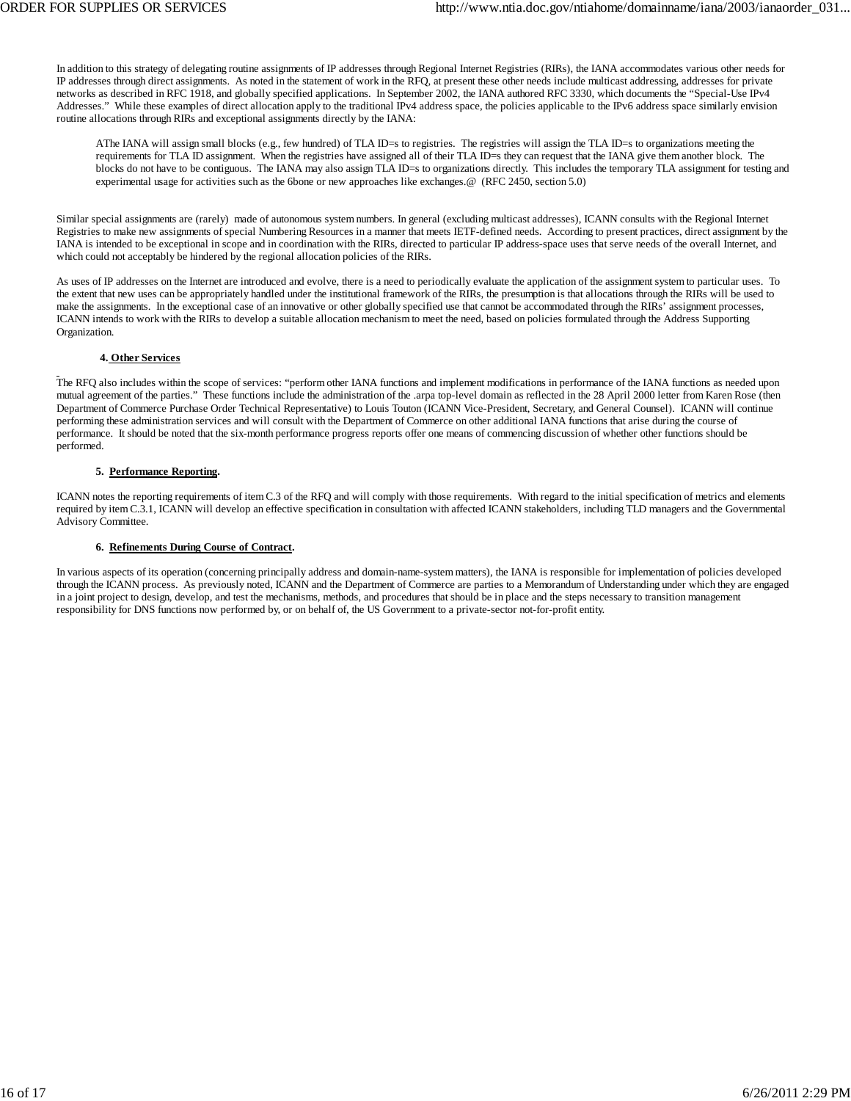In addition to this strategy of delegating routine assignments of IP addresses through Regional Internet Registries (RIRs), the IANA accommodates various other needs for IP addresses through direct assignments. As noted in the statement of work in the RFQ, at present these other needs include multicast addressing, addresses for private networks as described in RFC 1918, and globally specified applications. In September 2002, the IANA authored RFC 3330, which documents the "Special-Use IPv4 Addresses." While these examples of direct allocation apply to the traditional IPv4 address space, the policies applicable to the IPv6 address space similarly envision routine allocations through RIRs and exceptional assignments directly by the IANA:

AThe IANA will assign small blocks (e.g., few hundred) of TLA ID=s to registries. The registries will assign the TLA ID=s to organizations meeting the requirements for TLA ID assignment. When the registries have assigned all of their TLA ID=s they can request that the IANA give them another block. The blocks do not have to be contiguous. The IANA may also assign TLA ID=s to organizations directly. This includes the temporary TLA assignment for testing and experimental usage for activities such as the 6bone or new approaches like exchanges.@ (RFC 2450, section 5.0)

Similar special assignments are (rarely) made of autonomous system numbers. In general (excluding multicast addresses), ICANN consults with the Regional Internet Registries to make new assignments of special Numbering Resources in a manner that meets IETF-defined needs. According to present practices, direct assignment by the IANA is intended to be exceptional in scope and in coordination with the RIRs, directed to particular IP address-space uses that serve needs of the overall Internet, and which could not acceptably be hindered by the regional allocation policies of the RIRs.

As uses of IP addresses on the Internet are introduced and evolve, there is a need to periodically evaluate the application of the assignment system to particular uses. To the extent that new uses can be appropriately handled under the institutional framework of the RIRs, the presumption is that allocations through the RIRs will be used to make the assignments. In the exceptional case of an innovative or other globally specified use that cannot be accommodated through the RIRs' assignment processes, ICANN intends to work with the RIRs to develop a suitable allocation mechanism to meet the need, based on policies formulated through the Address Supporting Organization.

# **4. Other Services**

The RFQ also includes within the scope of services: "perform other IANA functions and implement modifications in performance of the IANA functions as needed upon mutual agreement of the parties." These functions include the administration of the .arpa top-level domain as reflected in the 28 April 2000 letter from Karen Rose (then Department of Commerce Purchase Order Technical Representative) to Louis Touton (ICANN Vice-President, Secretary, and General Counsel). ICANN will continue performing these administration services and will consult with the Department of Commerce on other additional IANA functions that arise during the course of performance. It should be noted that the six-month performance progress reports offer one means of commencing discussion of whether other functions should be performed.

# **5. Performance Reporting.**

ICANN notes the reporting requirements of item C.3 of the RFQ and will comply with those requirements. With regard to the initial specification of metrics and elements required by item C.3.1, ICANN will develop an effective specification in consultation with affected ICANN stakeholders, including TLD managers and the Governmental Advisory Committee.

## **6. Refinements During Course of Contract.**

In various aspects of its operation (concerning principally address and domain-name-system matters), the IANA is responsible for implementation of policies developed through the ICANN process. As previously noted, ICANN and the Department of Commerce are parties to a Memorandum of Understanding under which they are engaged in a joint project to design, develop, and test the mechanisms, methods, and procedures that should be in place and the steps necessary to transition management responsibility for DNS functions now performed by, or on behalf of, the US Government to a private-sector not-for-profit entity.